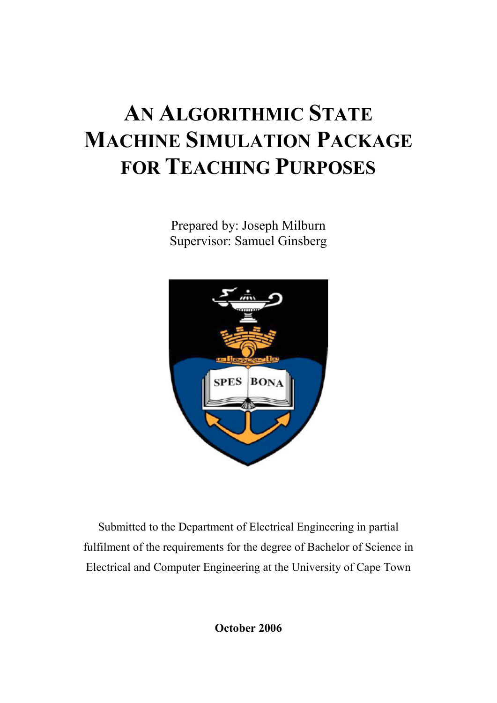# AN ALGORITHMIC STATE MACHINE SIMULATION PACKAGE FOR TEACHING PURPOSES

Prepared by: Joseph Milburn Supervisor: Samuel Ginsberg



Submitted to the Department of Electrical Engineering in partial fulfilment of the requirements for the degree of Bachelor of Science in Electrical and Computer Engineering at the University of Cape Town

October 2006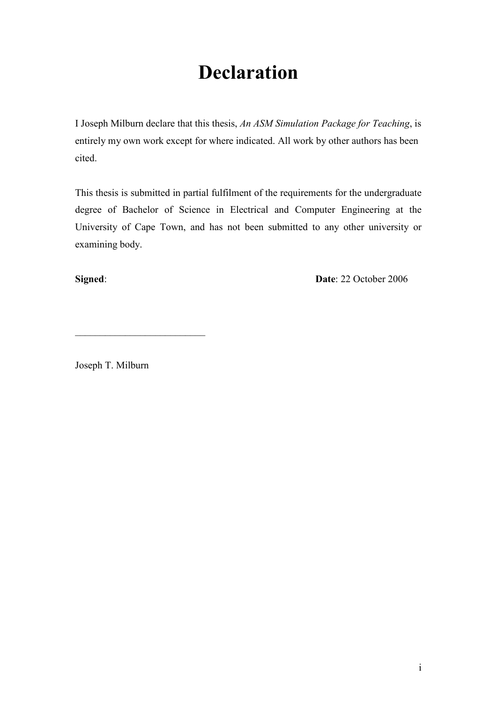### Declaration

I Joseph Milburn declare that this thesis, An ASM Simulation Package for Teaching, is entirely my own work except for where indicated. All work by other authors has been cited.

This thesis is submitted in partial fulfilment of the requirements for the undergraduate degree of Bachelor of Science in Electrical and Computer Engineering at the University of Cape Town, and has not been submitted to any other university or examining body.

Signed: Date: 22 October 2006

Joseph T. Milburn

\_\_\_\_\_\_\_\_\_\_\_\_\_\_\_\_\_\_\_\_\_\_\_\_\_\_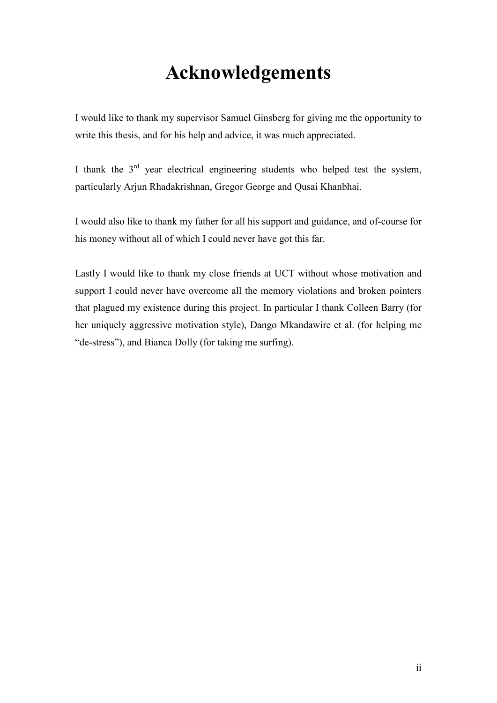### Acknowledgements

I would like to thank my supervisor Samuel Ginsberg for giving me the opportunity to write this thesis, and for his help and advice, it was much appreciated.

I thank the  $3<sup>rd</sup>$  year electrical engineering students who helped test the system, particularly Arjun Rhadakrishnan, Gregor George and Qusai Khanbhai.

I would also like to thank my father for all his support and guidance, and of-course for his money without all of which I could never have got this far.

Lastly I would like to thank my close friends at UCT without whose motivation and support I could never have overcome all the memory violations and broken pointers that plagued my existence during this project. In particular I thank Colleen Barry (for her uniquely aggressive motivation style), Dango Mkandawire et al. (for helping me "de-stress"), and Bianca Dolly (for taking me surfing).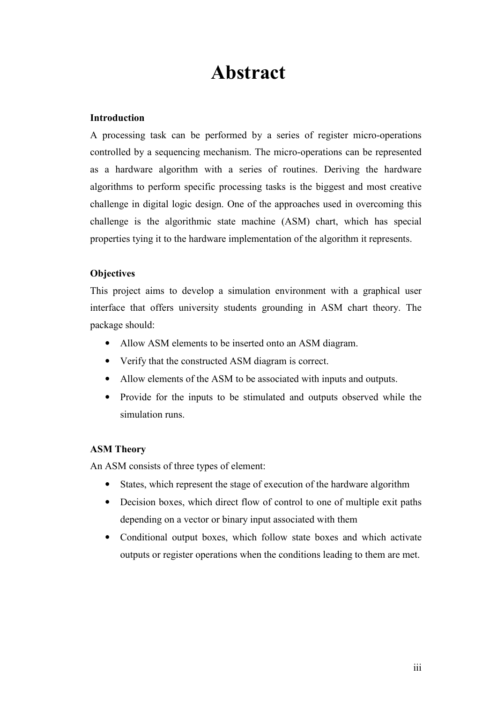### Abstract

#### Introduction

A processing task can be performed by a series of register micro-operations controlled by a sequencing mechanism. The micro-operations can be represented as a hardware algorithm with a series of routines. Deriving the hardware algorithms to perform specific processing tasks is the biggest and most creative challenge in digital logic design. One of the approaches used in overcoming this challenge is the algorithmic state machine (ASM) chart, which has special properties tying it to the hardware implementation of the algorithm it represents.

#### **Objectives**

This project aims to develop a simulation environment with a graphical user interface that offers university students grounding in ASM chart theory. The package should:

- Allow ASM elements to be inserted onto an ASM diagram.
- Verify that the constructed ASM diagram is correct.
- Allow elements of the ASM to be associated with inputs and outputs.
- Provide for the inputs to be stimulated and outputs observed while the simulation runs.

#### ASM Theory

An ASM consists of three types of element:

- States, which represent the stage of execution of the hardware algorithm
- Decision boxes, which direct flow of control to one of multiple exit paths depending on a vector or binary input associated with them
- Conditional output boxes, which follow state boxes and which activate outputs or register operations when the conditions leading to them are met.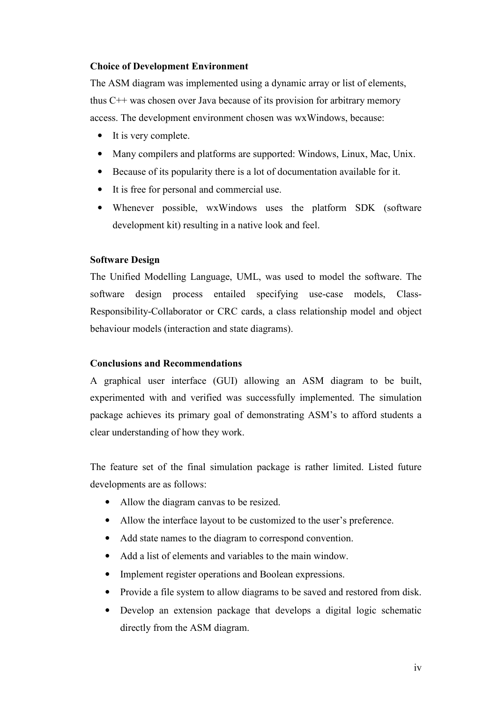#### Choice of Development Environment

The ASM diagram was implemented using a dynamic array or list of elements, thus C++ was chosen over Java because of its provision for arbitrary memory access. The development environment chosen was wxWindows, because:

- It is very complete.
- Many compilers and platforms are supported: Windows, Linux, Mac, Unix.
- Because of its popularity there is a lot of documentation available for it.
- It is free for personal and commercial use.
- Whenever possible, wxWindows uses the platform SDK (software development kit) resulting in a native look and feel.

#### Software Design

The Unified Modelling Language, UML, was used to model the software. The software design process entailed specifying use-case models, Class-Responsibility-Collaborator or CRC cards, a class relationship model and object behaviour models (interaction and state diagrams).

#### Conclusions and Recommendations

A graphical user interface (GUI) allowing an ASM diagram to be built, experimented with and verified was successfully implemented. The simulation package achieves its primary goal of demonstrating ASM's to afford students a clear understanding of how they work.

The feature set of the final simulation package is rather limited. Listed future developments are as follows:

- Allow the diagram canvas to be resized.
- Allow the interface layout to be customized to the user's preference.
- Add state names to the diagram to correspond convention.
- Add a list of elements and variables to the main window.
- Implement register operations and Boolean expressions.
- Provide a file system to allow diagrams to be saved and restored from disk.
- Develop an extension package that develops a digital logic schematic directly from the ASM diagram.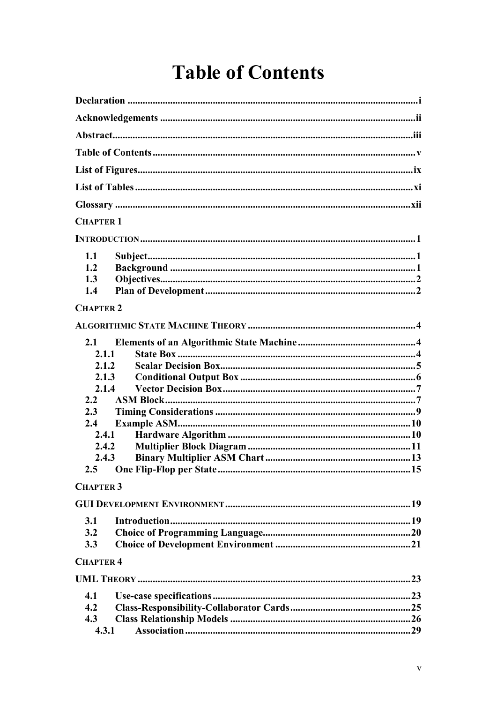# **Table of Contents**

| <b>CHAPTER 1</b> |  |
|------------------|--|
|                  |  |
|                  |  |
| 1.1              |  |
| 1.2              |  |
| 1.3              |  |
| 1.4              |  |
| <b>CHAPTER 2</b> |  |
|                  |  |
| 2.1              |  |
| 2.1.1            |  |
| 2.1.2            |  |
| 2.1.3            |  |
| 2.1.4            |  |
| $2.2\phantom{0}$ |  |
| 2.3              |  |
| 2.4              |  |
| 2.4.1            |  |
| 2.4.2            |  |
| 2.4.3            |  |
|                  |  |
|                  |  |
| <b>CHAPTER 3</b> |  |
|                  |  |
| 3.1              |  |
| 3.2              |  |
| 3.3              |  |
| <b>CHAPTER 4</b> |  |
|                  |  |
| 4.1              |  |
| 4.2              |  |
| 4.3              |  |
| 4.3.1            |  |
|                  |  |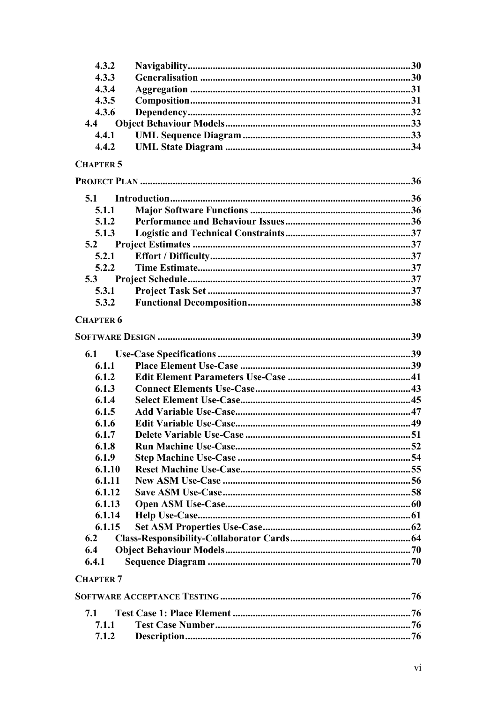| 4.3.2            |  |
|------------------|--|
| 4.3.3            |  |
| 4.3.4            |  |
| 4.3.5            |  |
| 4.3.6            |  |
| 4.4              |  |
| 4.4.1            |  |
| 4.4.2            |  |
| <b>CHAPTER 5</b> |  |
|                  |  |
| 5.1              |  |
| 5.1.1            |  |
| 5.1.2            |  |
| 5.1.3            |  |
| 5.2              |  |
| 5.2.1            |  |
| 5.2.2            |  |
| 5.3              |  |
| 5.3.1            |  |
| 5.3.2            |  |
| <b>CHAPTER 6</b> |  |
|                  |  |
|                  |  |
| 6.1              |  |
| 6.1.1            |  |
| 6.1.2            |  |
| 6.1.3            |  |
| 6.1.4            |  |
| 6.1.5            |  |
| 6.1.6            |  |
| 6.1.7            |  |
| 6.1.8            |  |
| 6.1.9            |  |
| 6.1.10           |  |
| 6.1.11           |  |
| 6.1.12           |  |
| 6.1.13           |  |
| 6.1.14           |  |
| 6.1.15           |  |
| 6.2              |  |
| 6.4              |  |
| 6.4.1            |  |
| <b>CHAPTER 7</b> |  |
|                  |  |
| 7.1<br>7.1.1     |  |

 $7.1.2$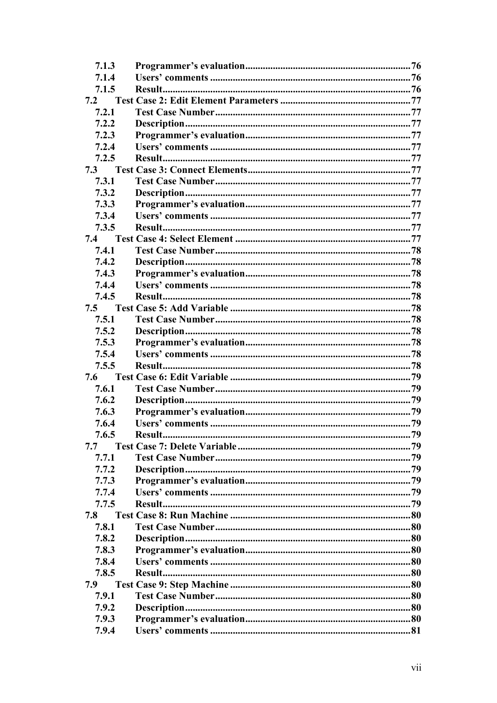| 7.1.3 |        |  |
|-------|--------|--|
| 7.1.4 |        |  |
| 7.1.5 |        |  |
| 7.2   |        |  |
| 7.2.1 |        |  |
| 7.2.2 |        |  |
| 7.2.3 |        |  |
| 7.2.4 |        |  |
| 7.2.5 |        |  |
| 7.3   |        |  |
| 7.3.1 |        |  |
| 7.3.2 |        |  |
| 7.3.3 |        |  |
| 7.3.4 |        |  |
| 7.3.5 |        |  |
| 7.4   |        |  |
| 7.4.1 |        |  |
| 7.4.2 |        |  |
| 7.4.3 |        |  |
| 7.4.4 |        |  |
| 7.4.5 |        |  |
| 7.5   |        |  |
| 7.5.1 |        |  |
| 7.5.2 |        |  |
| 7.5.3 |        |  |
| 7.5.4 |        |  |
| 7.5.5 |        |  |
| 7.6   |        |  |
| 7.6.1 |        |  |
| 7.6.2 |        |  |
| 7.6.3 |        |  |
| 7.6.4 |        |  |
| 7.6.5 | Result |  |
| 7.7   |        |  |
| 7.7.1 |        |  |
| 7.7.2 |        |  |
| 7.7.3 |        |  |
| 7.7.4 |        |  |
| 7.7.5 |        |  |
| 7.8   |        |  |
| 7.8.1 |        |  |
| 7.8.2 |        |  |
| 7.8.3 |        |  |
| 7.8.4 |        |  |
| 7.8.5 |        |  |
| 7.9   |        |  |
| 7.9.1 |        |  |
| 7.9.2 |        |  |
| 7.9.3 |        |  |
| 7.9.4 |        |  |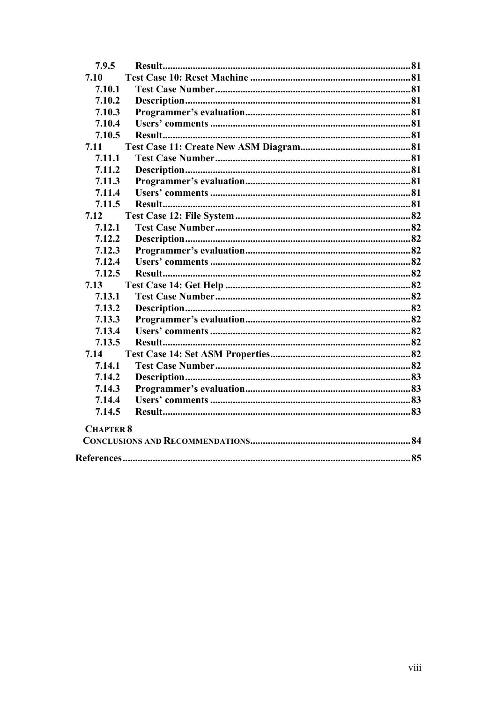| 7.9.5            |  |
|------------------|--|
| 7.10             |  |
| 7.10.1           |  |
| 7.10.2           |  |
| 7.10.3           |  |
| 7.10.4           |  |
| 7.10.5           |  |
| 7.11             |  |
| 7.11.1           |  |
| 7.11.2           |  |
| 7.11.3           |  |
| 7.11.4           |  |
| 7.11.5           |  |
| 7.12             |  |
| 7.12.1           |  |
| 7.12.2           |  |
| 7.12.3           |  |
| 7.12.4           |  |
| 7.12.5           |  |
| 7.13             |  |
| 7.13.1           |  |
| 7.13.2           |  |
| 7.13.3           |  |
| 7.13.4           |  |
| 7.13.5           |  |
| 7.14             |  |
| 7.14.1           |  |
| 7.14.2           |  |
| 7.14.3           |  |
| 7.14.4           |  |
| 7.14.5           |  |
| <b>CHAPTER 8</b> |  |
|                  |  |
|                  |  |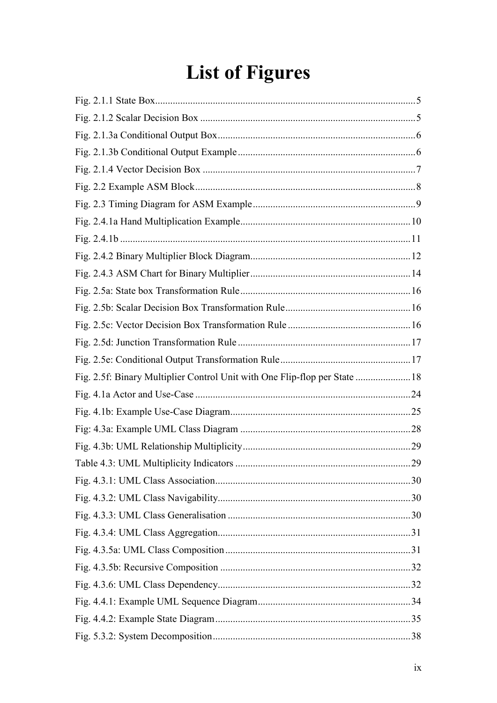# **List of Figures**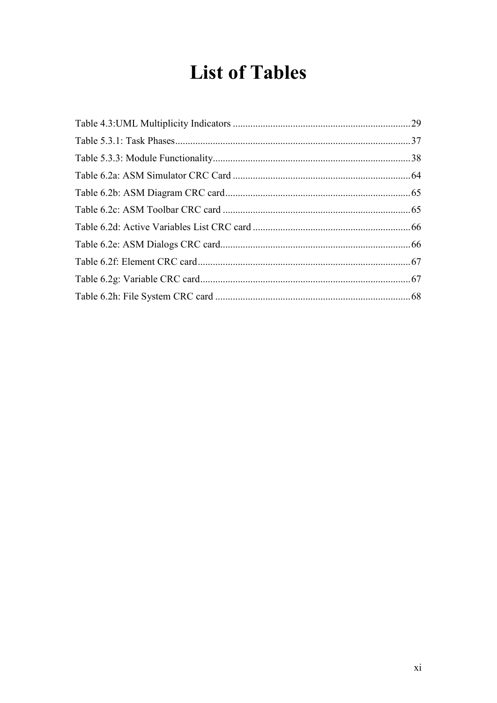## **List of Tables**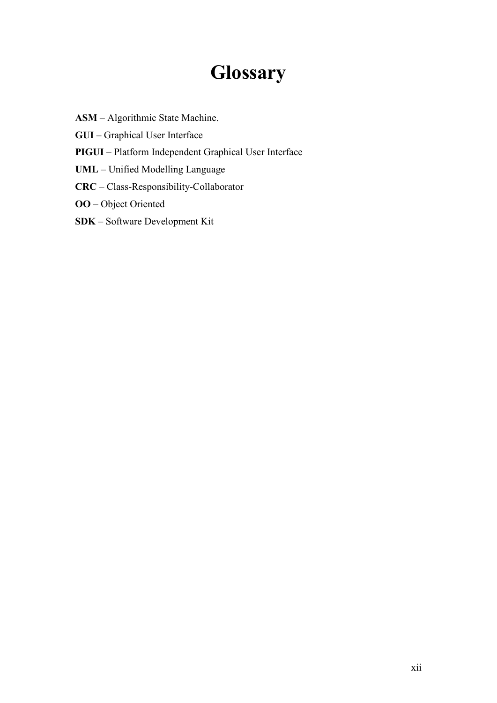### **Glossary**

- ASM Algorithmic State Machine.
- GUI Graphical User Interface
- PIGUI Platform Independent Graphical User Interface
- UML Unified Modelling Language
- CRC Class-Responsibility-Collaborator
- OO Object Oriented
- SDK Software Development Kit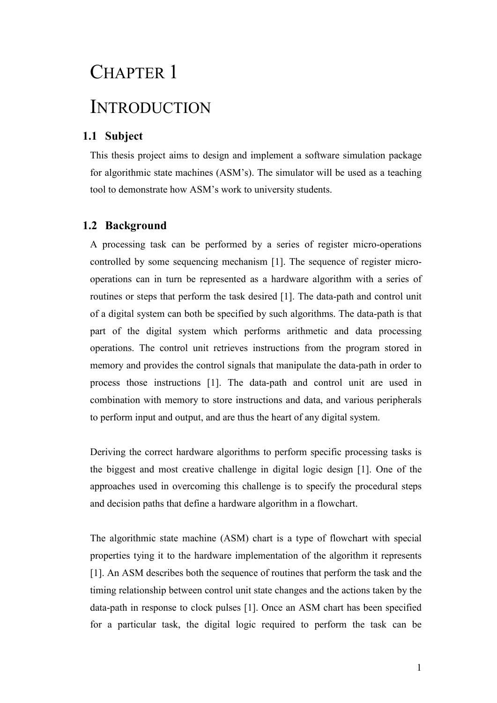# CHAPTER 1 INTRODUCTION

#### 1.1 Subject

This thesis project aims to design and implement a software simulation package for algorithmic state machines (ASM's). The simulator will be used as a teaching tool to demonstrate how ASM's work to university students.

#### 1.2 Background

A processing task can be performed by a series of register micro-operations controlled by some sequencing mechanism [1]. The sequence of register microoperations can in turn be represented as a hardware algorithm with a series of routines or steps that perform the task desired [1]. The data-path and control unit of a digital system can both be specified by such algorithms. The data-path is that part of the digital system which performs arithmetic and data processing operations. The control unit retrieves instructions from the program stored in memory and provides the control signals that manipulate the data-path in order to process those instructions [1]. The data-path and control unit are used in combination with memory to store instructions and data, and various peripherals to perform input and output, and are thus the heart of any digital system.

Deriving the correct hardware algorithms to perform specific processing tasks is the biggest and most creative challenge in digital logic design [1]. One of the approaches used in overcoming this challenge is to specify the procedural steps and decision paths that define a hardware algorithm in a flowchart.

The algorithmic state machine (ASM) chart is a type of flowchart with special properties tying it to the hardware implementation of the algorithm it represents [1]. An ASM describes both the sequence of routines that perform the task and the timing relationship between control unit state changes and the actions taken by the data-path in response to clock pulses [1]. Once an ASM chart has been specified for a particular task, the digital logic required to perform the task can be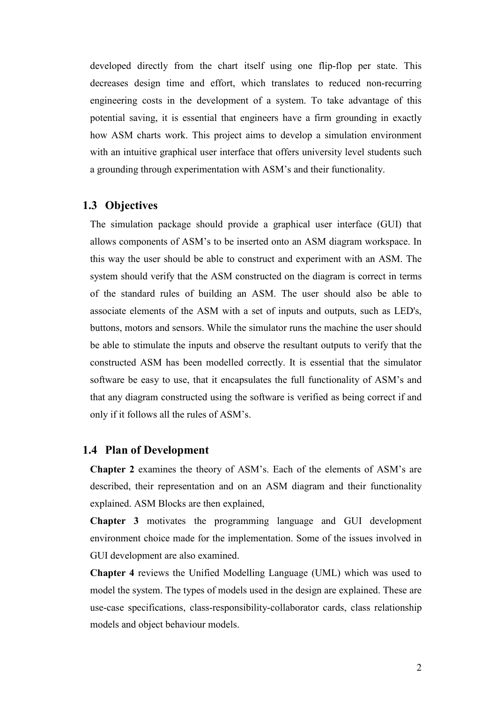developed directly from the chart itself using one flip-flop per state. This decreases design time and effort, which translates to reduced non-recurring engineering costs in the development of a system. To take advantage of this potential saving, it is essential that engineers have a firm grounding in exactly how ASM charts work. This project aims to develop a simulation environment with an intuitive graphical user interface that offers university level students such a grounding through experimentation with ASM's and their functionality.

#### 1.3 Objectives

The simulation package should provide a graphical user interface (GUI) that allows components of ASM's to be inserted onto an ASM diagram workspace. In this way the user should be able to construct and experiment with an ASM. The system should verify that the ASM constructed on the diagram is correct in terms of the standard rules of building an ASM. The user should also be able to associate elements of the ASM with a set of inputs and outputs, such as LED's, buttons, motors and sensors. While the simulator runs the machine the user should be able to stimulate the inputs and observe the resultant outputs to verify that the constructed ASM has been modelled correctly. It is essential that the simulator software be easy to use, that it encapsulates the full functionality of ASM's and that any diagram constructed using the software is verified as being correct if and only if it follows all the rules of ASM's.

#### 1.4 Plan of Development

Chapter 2 examines the theory of ASM's. Each of the elements of ASM's are described, their representation and on an ASM diagram and their functionality explained. ASM Blocks are then explained,

Chapter 3 motivates the programming language and GUI development environment choice made for the implementation. Some of the issues involved in GUI development are also examined.

Chapter 4 reviews the Unified Modelling Language (UML) which was used to model the system. The types of models used in the design are explained. These are use-case specifications, class-responsibility-collaborator cards, class relationship models and object behaviour models.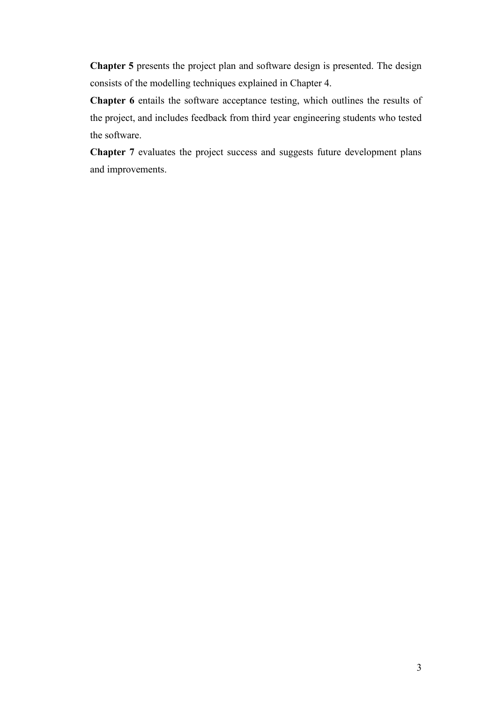Chapter 5 presents the project plan and software design is presented. The design consists of the modelling techniques explained in Chapter 4.

Chapter 6 entails the software acceptance testing, which outlines the results of the project, and includes feedback from third year engineering students who tested the software.

Chapter 7 evaluates the project success and suggests future development plans and improvements.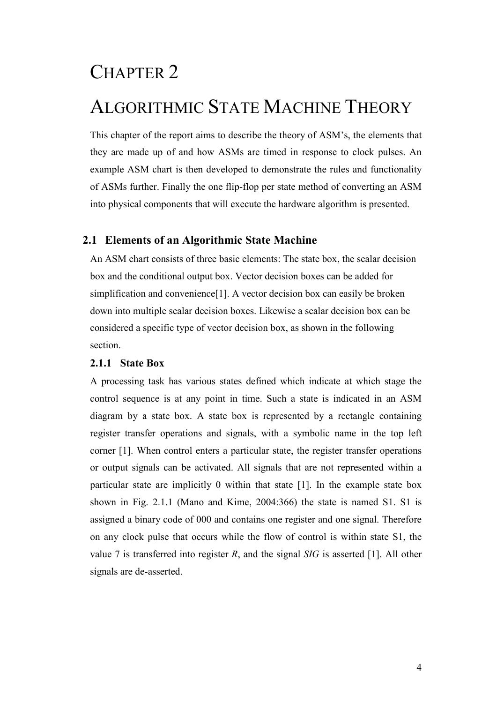### CHAPTER 2

### ALGORITHMIC STATE MACHINE THEORY

This chapter of the report aims to describe the theory of ASM's, the elements that they are made up of and how ASMs are timed in response to clock pulses. An example ASM chart is then developed to demonstrate the rules and functionality of ASMs further. Finally the one flip-flop per state method of converting an ASM into physical components that will execute the hardware algorithm is presented.

#### 2.1 Elements of an Algorithmic State Machine

An ASM chart consists of three basic elements: The state box, the scalar decision box and the conditional output box. Vector decision boxes can be added for simplification and convenience[1]. A vector decision box can easily be broken down into multiple scalar decision boxes. Likewise a scalar decision box can be considered a specific type of vector decision box, as shown in the following section.

#### 2.1.1 State Box

A processing task has various states defined which indicate at which stage the control sequence is at any point in time. Such a state is indicated in an ASM diagram by a state box. A state box is represented by a rectangle containing register transfer operations and signals, with a symbolic name in the top left corner [1]. When control enters a particular state, the register transfer operations or output signals can be activated. All signals that are not represented within a particular state are implicitly 0 within that state [1]. In the example state box shown in Fig. 2.1.1 (Mano and Kime, 2004:366) the state is named S1. S1 is assigned a binary code of 000 and contains one register and one signal. Therefore on any clock pulse that occurs while the flow of control is within state S1, the value 7 is transferred into register R, and the signal  $SIG$  is asserted [1]. All other signals are de-asserted.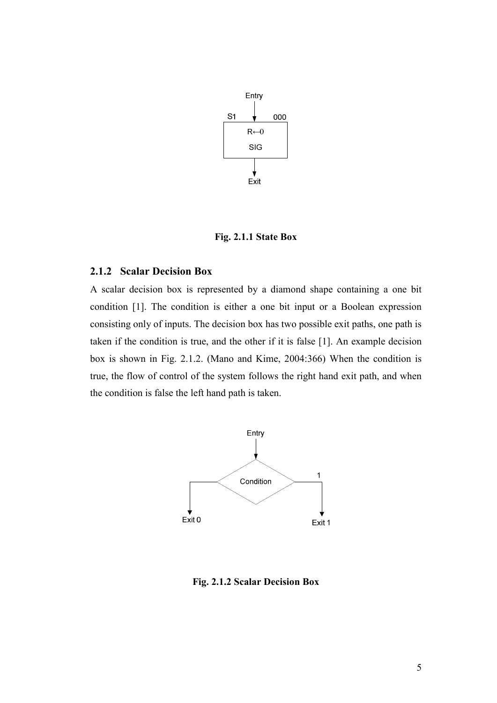

Fig. 2.1.1 State Box

#### 2.1.2 Scalar Decision Box

A scalar decision box is represented by a diamond shape containing a one bit condition [1]. The condition is either a one bit input or a Boolean expression consisting only of inputs. The decision box has two possible exit paths, one path is taken if the condition is true, and the other if it is false [1]. An example decision box is shown in Fig. 2.1.2. (Mano and Kime, 2004:366) When the condition is true, the flow of control of the system follows the right hand exit path, and when the condition is false the left hand path is taken.



Fig. 2.1.2 Scalar Decision Box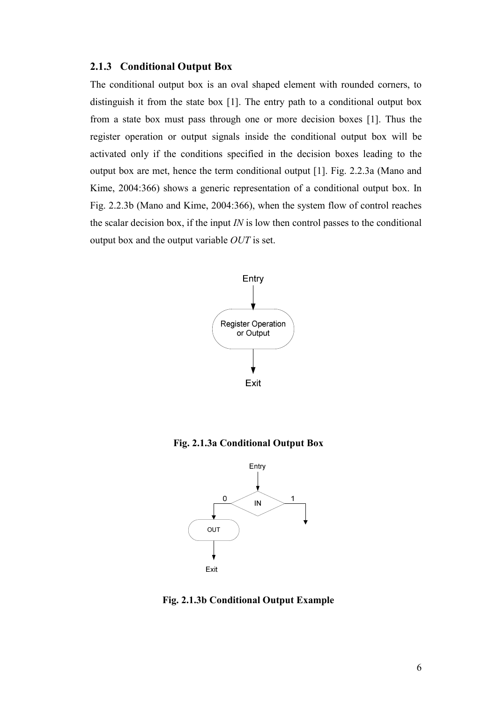#### 2.1.3 Conditional Output Box

The conditional output box is an oval shaped element with rounded corners, to distinguish it from the state box [1]. The entry path to a conditional output box from a state box must pass through one or more decision boxes [1]. Thus the register operation or output signals inside the conditional output box will be activated only if the conditions specified in the decision boxes leading to the output box are met, hence the term conditional output [1]. Fig. 2.2.3a (Mano and Kime, 2004:366) shows a generic representation of a conditional output box. In Fig. 2.2.3b (Mano and Kime, 2004:366), when the system flow of control reaches the scalar decision box, if the input  $IN$  is low then control passes to the conditional output box and the output variable OUT is set.



Fig. 2.1.3a Conditional Output Box



Fig. 2.1.3b Conditional Output Example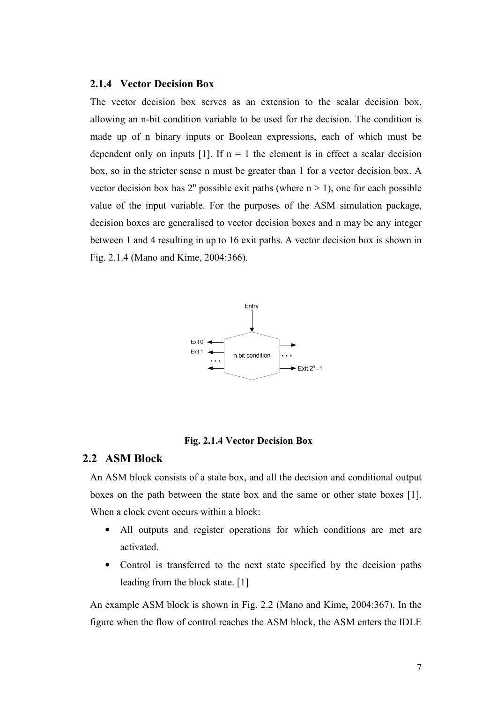#### 2.1.4 Vector Decision Box

The vector decision box serves as an extension to the scalar decision box, allowing an n-bit condition variable to be used for the decision. The condition is made up of n binary inputs or Boolean expressions, each of which must be dependent only on inputs  $[1]$ . If  $n = 1$  the element is in effect a scalar decision box, so in the stricter sense n must be greater than 1 for a vector decision box. A vector decision box has  $2^n$  possible exit paths (where  $n > 1$ ), one for each possible value of the input variable. For the purposes of the ASM simulation package, decision boxes are generalised to vector decision boxes and n may be any integer between 1 and 4 resulting in up to 16 exit paths. A vector decision box is shown in Fig. 2.1.4 (Mano and Kime, 2004:366).



#### Fig. 2.1.4 Vector Decision Box

#### 2.2 ASM Block

An ASM block consists of a state box, and all the decision and conditional output boxes on the path between the state box and the same or other state boxes [1]. When a clock event occurs within a block:

- All outputs and register operations for which conditions are met are activated.
- Control is transferred to the next state specified by the decision paths leading from the block state. [1]

An example ASM block is shown in Fig. 2.2 (Mano and Kime, 2004:367). In the figure when the flow of control reaches the ASM block, the ASM enters the IDLE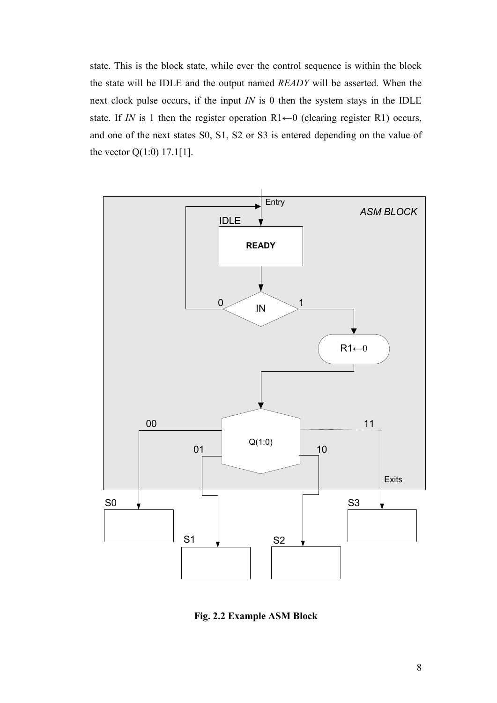state. This is the block state, while ever the control sequence is within the block the state will be IDLE and the output named READY will be asserted. When the next clock pulse occurs, if the input  $IN$  is 0 then the system stays in the IDLE state. If IN is 1 then the register operation  $R1 \leftarrow 0$  (clearing register R1) occurs, and one of the next states S0, S1, S2 or S3 is entered depending on the value of the vector  $Q(1:0)$  17.1[1].



Fig. 2.2 Example ASM Block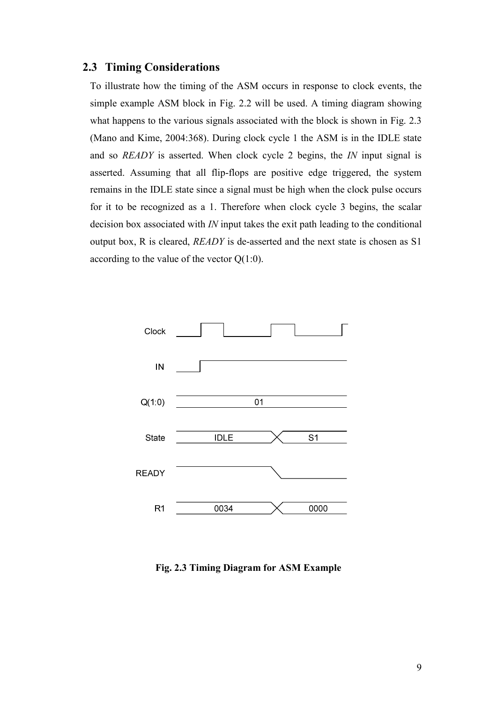#### 2.3 Timing Considerations

To illustrate how the timing of the ASM occurs in response to clock events, the simple example ASM block in Fig. 2.2 will be used. A timing diagram showing what happens to the various signals associated with the block is shown in Fig. 2.3 (Mano and Kime, 2004:368). During clock cycle 1 the ASM is in the IDLE state and so *READY* is asserted. When clock cycle 2 begins, the *IN* input signal is asserted. Assuming that all flip-flops are positive edge triggered, the system remains in the IDLE state since a signal must be high when the clock pulse occurs for it to be recognized as a 1. Therefore when clock cycle 3 begins, the scalar decision box associated with IN input takes the exit path leading to the conditional output box, R is cleared, READY is de-asserted and the next state is chosen as S1 according to the value of the vector  $Q(1:0)$ .



Fig. 2.3 Timing Diagram for ASM Example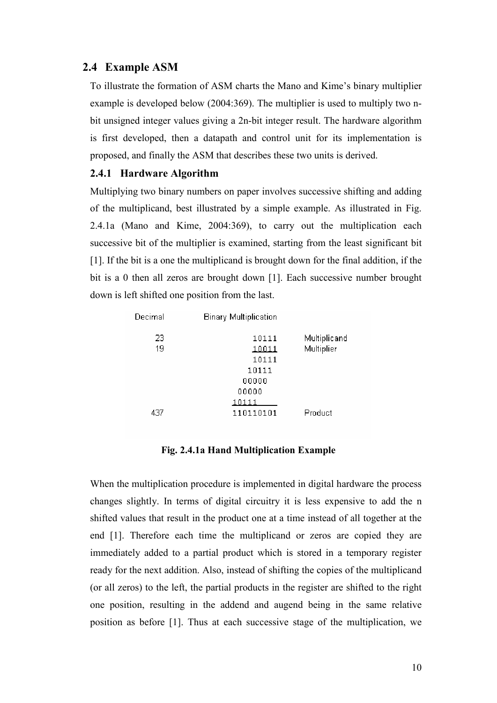#### 2.4 Example ASM

To illustrate the formation of ASM charts the Mano and Kime's binary multiplier example is developed below (2004:369). The multiplier is used to multiply two nbit unsigned integer values giving a 2n-bit integer result. The hardware algorithm is first developed, then a datapath and control unit for its implementation is proposed, and finally the ASM that describes these two units is derived.

#### 2.4.1 Hardware Algorithm

Multiplying two binary numbers on paper involves successive shifting and adding of the multiplicand, best illustrated by a simple example. As illustrated in Fig. 2.4.1a (Mano and Kime, 2004:369), to carry out the multiplication each successive bit of the multiplier is examined, starting from the least significant bit [1]. If the bit is a one the multiplicand is brought down for the final addition, if the bit is a 0 then all zeros are brought down [1]. Each successive number brought down is left shifted one position from the last.

| Decimal | <b>Binary Multiplication</b> |              |
|---------|------------------------------|--------------|
| 23      | 10111                        | Multiplicand |
| 19      | 10011                        | Multiplier   |
|         | 10111                        |              |
|         | 10111                        |              |
|         | 00000                        |              |
|         | 00000                        |              |
|         | 10111                        |              |
| 437     | 110110101                    | Product      |

#### Fig. 2.4.1a Hand Multiplication Example

When the multiplication procedure is implemented in digital hardware the process changes slightly. In terms of digital circuitry it is less expensive to add the n shifted values that result in the product one at a time instead of all together at the end [1]. Therefore each time the multiplicand or zeros are copied they are immediately added to a partial product which is stored in a temporary register ready for the next addition. Also, instead of shifting the copies of the multiplicand (or all zeros) to the left, the partial products in the register are shifted to the right one position, resulting in the addend and augend being in the same relative position as before [1]. Thus at each successive stage of the multiplication, we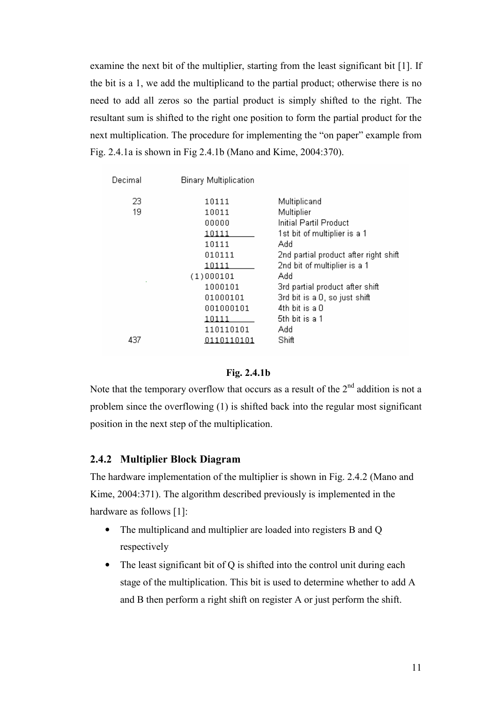examine the next bit of the multiplier, starting from the least significant bit [1]. If the bit is a 1, we add the multiplicand to the partial product; otherwise there is no need to add all zeros so the partial product is simply shifted to the right. The resultant sum is shifted to the right one position to form the partial product for the next multiplication. The procedure for implementing the "on paper" example from Fig. 2.4.1a is shown in Fig 2.4.1b (Mano and Kime, 2004:370).

| Decimal  | <b>Binary Multiplication</b>                                                               |                                                                                                                                                                                                          |
|----------|--------------------------------------------------------------------------------------------|----------------------------------------------------------------------------------------------------------------------------------------------------------------------------------------------------------|
| 23<br>19 | 10111<br>10011<br>00000<br>10111<br>10111<br>010111                                        | Multiplicand<br>Multiplier<br>Initial Partil Product<br>1st bit of multiplier is a 1<br>Add                                                                                                              |
| 437      | 10111<br>(1)000101<br>1000101<br>01000101<br>001000101<br>10111<br>110110101<br>0110110101 | 2nd partial product after right shift<br>2nd bit of multiplier is a 1<br>Add<br>3rd partial product after shift<br>3rd bit is a 0, so just shift<br>$4th$ bit is a $0$<br>5th bit is a 1<br>Add<br>Shift |

#### Fig. 2.4.1b

Note that the temporary overflow that occurs as a result of the  $2<sup>nd</sup>$  addition is not a problem since the overflowing (1) is shifted back into the regular most significant position in the next step of the multiplication.

#### 2.4.2 Multiplier Block Diagram

The hardware implementation of the multiplier is shown in Fig. 2.4.2 (Mano and Kime, 2004:371). The algorithm described previously is implemented in the hardware as follows [1]:

- The multiplicand and multiplier are loaded into registers B and Q respectively
- The least significant bit of Q is shifted into the control unit during each stage of the multiplication. This bit is used to determine whether to add A and B then perform a right shift on register A or just perform the shift.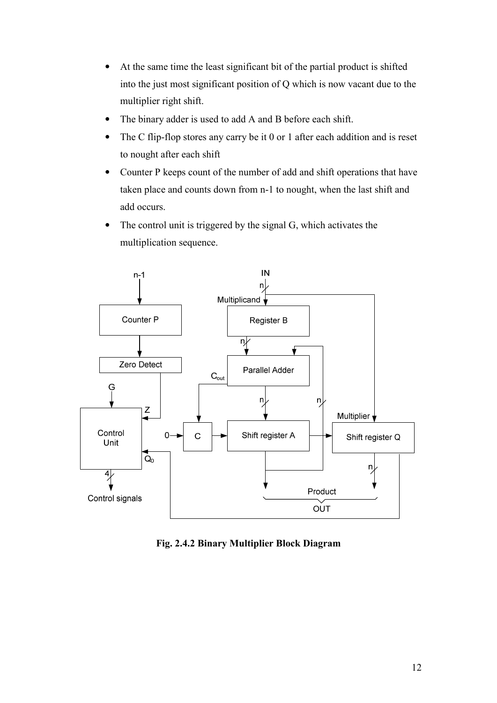- At the same time the least significant bit of the partial product is shifted into the just most significant position of Q which is now vacant due to the multiplier right shift.
- The binary adder is used to add A and B before each shift.
- The C flip-flop stores any carry be it 0 or 1 after each addition and is reset to nought after each shift
- Counter P keeps count of the number of add and shift operations that have taken place and counts down from n-1 to nought, when the last shift and add occurs.
- The control unit is triggered by the signal G, which activates the multiplication sequence.



Fig. 2.4.2 Binary Multiplier Block Diagram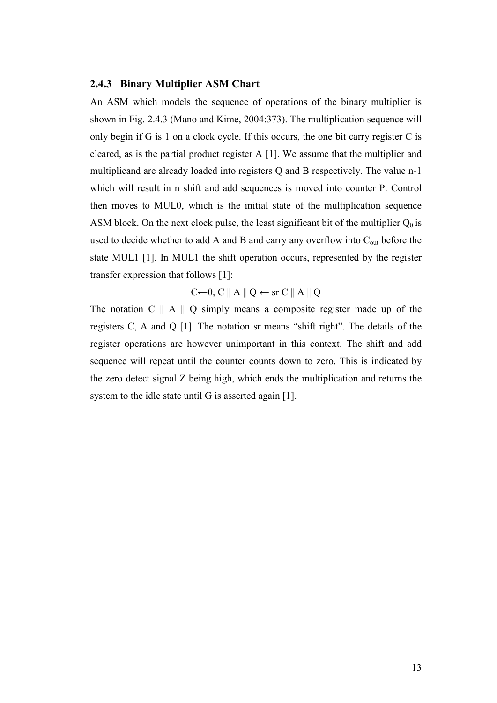#### 2.4.3 Binary Multiplier ASM Chart

An ASM which models the sequence of operations of the binary multiplier is shown in Fig. 2.4.3 (Mano and Kime, 2004:373). The multiplication sequence will only begin if G is 1 on a clock cycle. If this occurs, the one bit carry register C is cleared, as is the partial product register A [1]. We assume that the multiplier and multiplicand are already loaded into registers Q and B respectively. The value n-1 which will result in n shift and add sequences is moved into counter P. Control then moves to MUL0, which is the initial state of the multiplication sequence ASM block. On the next clock pulse, the least significant bit of the multiplier  $Q_0$  is used to decide whether to add A and B and carry any overflow into C<sub>out</sub> before the state MUL1 [1]. In MUL1 the shift operation occurs, represented by the register transfer expression that follows [1]:

 $C \leftarrow 0$ , C || A || Q  $\leftarrow$  sr C || A || Q

The notation  $C \parallel A \parallel Q$  simply means a composite register made up of the registers C, A and Q [1]. The notation sr means "shift right". The details of the register operations are however unimportant in this context. The shift and add sequence will repeat until the counter counts down to zero. This is indicated by the zero detect signal Z being high, which ends the multiplication and returns the system to the idle state until G is asserted again [1].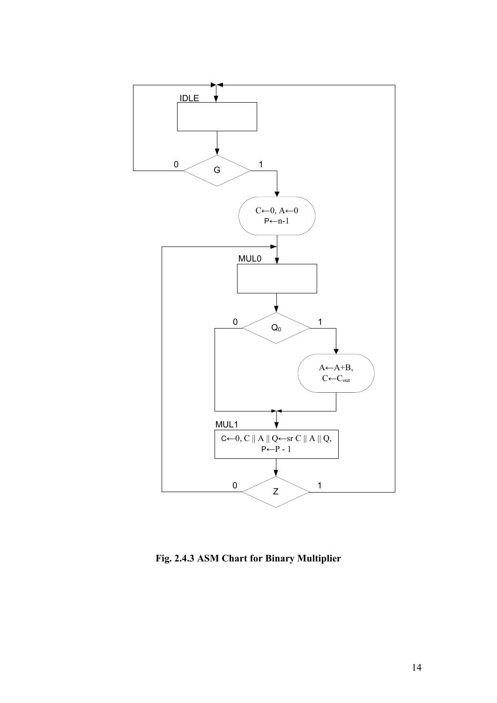

Fig. 2.4.3 ASM Chart for Binary Multiplier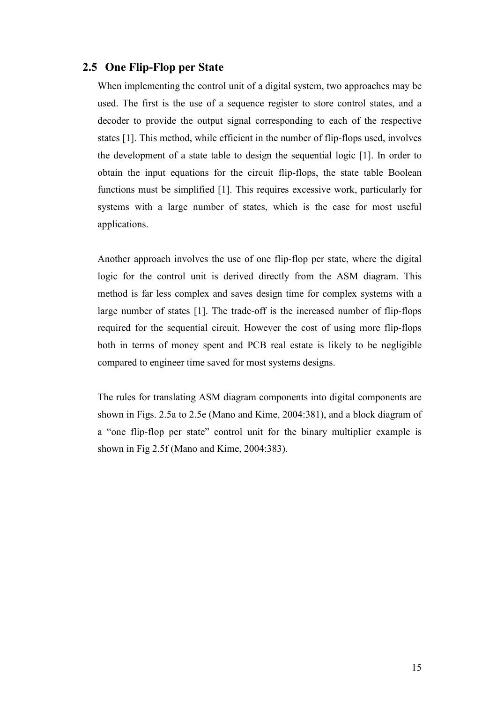#### 2.5 One Flip-Flop per State

When implementing the control unit of a digital system, two approaches may be used. The first is the use of a sequence register to store control states, and a decoder to provide the output signal corresponding to each of the respective states [1]. This method, while efficient in the number of flip-flops used, involves the development of a state table to design the sequential logic [1]. In order to obtain the input equations for the circuit flip-flops, the state table Boolean functions must be simplified [1]. This requires excessive work, particularly for systems with a large number of states, which is the case for most useful applications.

Another approach involves the use of one flip-flop per state, where the digital logic for the control unit is derived directly from the ASM diagram. This method is far less complex and saves design time for complex systems with a large number of states [1]. The trade-off is the increased number of flip-flops required for the sequential circuit. However the cost of using more flip-flops both in terms of money spent and PCB real estate is likely to be negligible compared to engineer time saved for most systems designs.

The rules for translating ASM diagram components into digital components are shown in Figs. 2.5a to 2.5e (Mano and Kime, 2004:381), and a block diagram of a "one flip-flop per state" control unit for the binary multiplier example is shown in Fig 2.5f (Mano and Kime, 2004:383).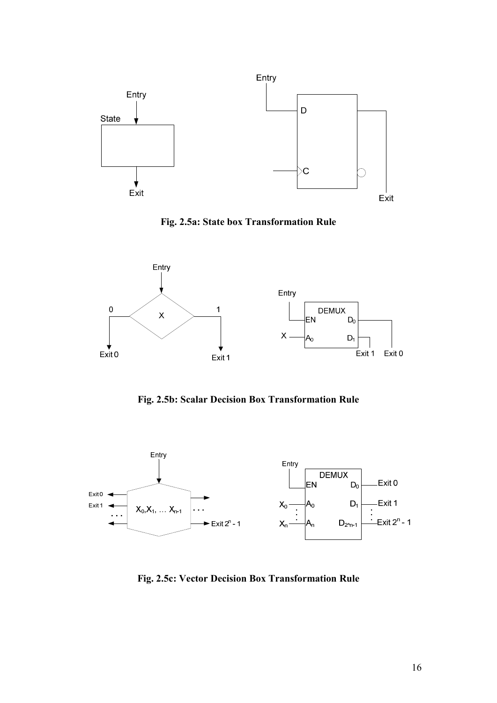





Fig. 2.5b: Scalar Decision Box Transformation Rule



Fig. 2.5c: Vector Decision Box Transformation Rule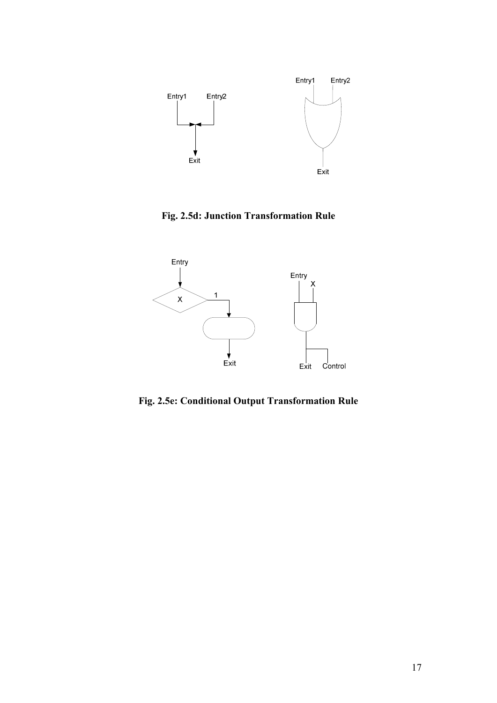

Fig. 2.5d: Junction Transformation Rule



Fig. 2.5e: Conditional Output Transformation Rule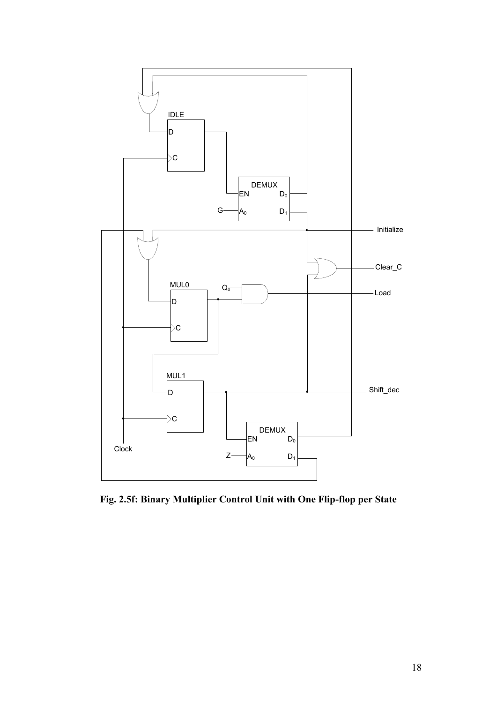

Fig. 2.5f: Binary Multiplier Control Unit with One Flip-flop per State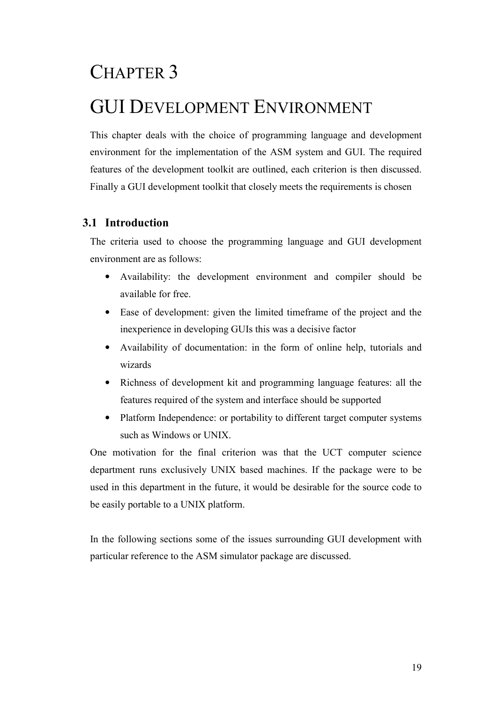### CHAPTER 3

### GUI DEVELOPMENT ENVIRONMENT

This chapter deals with the choice of programming language and development environment for the implementation of the ASM system and GUI. The required features of the development toolkit are outlined, each criterion is then discussed. Finally a GUI development toolkit that closely meets the requirements is chosen

#### 3.1 Introduction

The criteria used to choose the programming language and GUI development environment are as follows:

- Availability: the development environment and compiler should be available for free.
- Ease of development: given the limited timeframe of the project and the inexperience in developing GUIs this was a decisive factor
- Availability of documentation: in the form of online help, tutorials and wizards
- Richness of development kit and programming language features: all the features required of the system and interface should be supported
- Platform Independence: or portability to different target computer systems such as Windows or UNIX.

One motivation for the final criterion was that the UCT computer science department runs exclusively UNIX based machines. If the package were to be used in this department in the future, it would be desirable for the source code to be easily portable to a UNIX platform.

In the following sections some of the issues surrounding GUI development with particular reference to the ASM simulator package are discussed.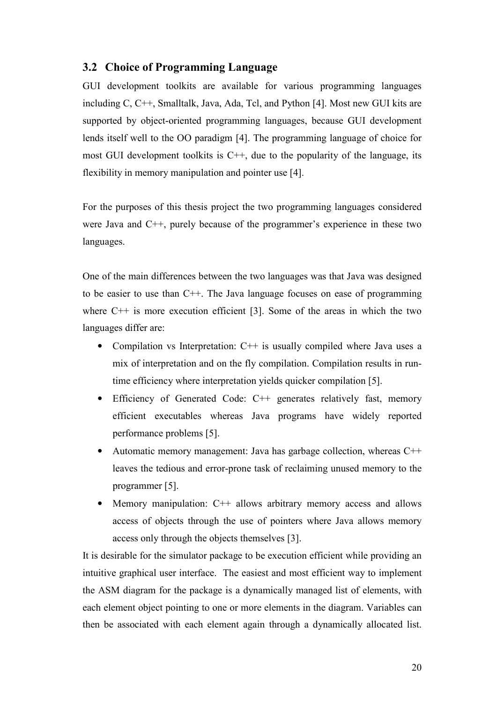#### 3.2 Choice of Programming Language

GUI development toolkits are available for various programming languages including C, C++, Smalltalk, Java, Ada, Tcl, and Python [4]. Most new GUI kits are supported by object-oriented programming languages, because GUI development lends itself well to the OO paradigm [4]. The programming language of choice for most GUI development toolkits is  $C^{++}$ , due to the popularity of the language, its flexibility in memory manipulation and pointer use [4].

For the purposes of this thesis project the two programming languages considered were Java and C++, purely because of the programmer's experience in these two languages.

One of the main differences between the two languages was that Java was designed to be easier to use than C++. The Java language focuses on ease of programming where  $C++$  is more execution efficient [3]. Some of the areas in which the two languages differ are:

- Compilation vs Interpretation: C++ is usually compiled where Java uses a mix of interpretation and on the fly compilation. Compilation results in runtime efficiency where interpretation yields quicker compilation [5].
- Efficiency of Generated Code: C++ generates relatively fast, memory efficient executables whereas Java programs have widely reported performance problems [5].
- Automatic memory management: Java has garbage collection, whereas C++ leaves the tedious and error-prone task of reclaiming unused memory to the programmer [5].
- Memory manipulation: C++ allows arbitrary memory access and allows access of objects through the use of pointers where Java allows memory access only through the objects themselves [3].

It is desirable for the simulator package to be execution efficient while providing an intuitive graphical user interface. The easiest and most efficient way to implement the ASM diagram for the package is a dynamically managed list of elements, with each element object pointing to one or more elements in the diagram. Variables can then be associated with each element again through a dynamically allocated list.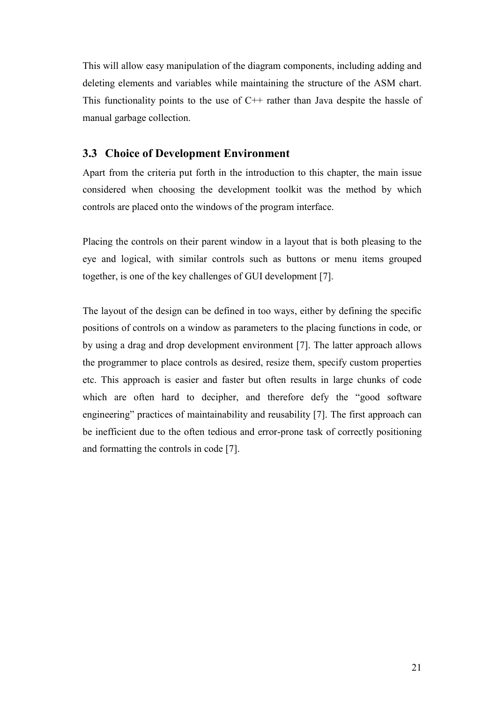This will allow easy manipulation of the diagram components, including adding and deleting elements and variables while maintaining the structure of the ASM chart. This functionality points to the use of  $C++$  rather than Java despite the hassle of manual garbage collection.

#### 3.3 Choice of Development Environment

Apart from the criteria put forth in the introduction to this chapter, the main issue considered when choosing the development toolkit was the method by which controls are placed onto the windows of the program interface.

Placing the controls on their parent window in a layout that is both pleasing to the eye and logical, with similar controls such as buttons or menu items grouped together, is one of the key challenges of GUI development [7].

The layout of the design can be defined in too ways, either by defining the specific positions of controls on a window as parameters to the placing functions in code, or by using a drag and drop development environment [7]. The latter approach allows the programmer to place controls as desired, resize them, specify custom properties etc. This approach is easier and faster but often results in large chunks of code which are often hard to decipher, and therefore defy the "good software" engineering" practices of maintainability and reusability [7]. The first approach can be inefficient due to the often tedious and error-prone task of correctly positioning and formatting the controls in code [7].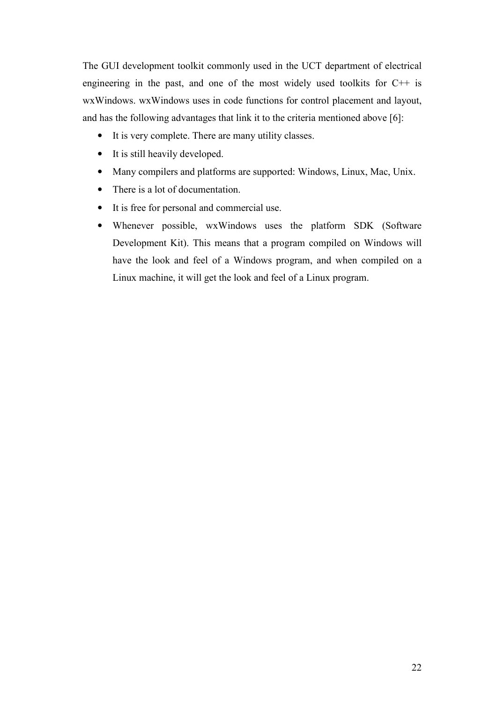The GUI development toolkit commonly used in the UCT department of electrical engineering in the past, and one of the most widely used toolkits for  $C++$  is wxWindows. wxWindows uses in code functions for control placement and layout, and has the following advantages that link it to the criteria mentioned above [6]:

- It is very complete. There are many utility classes.
- It is still heavily developed.
- Many compilers and platforms are supported: Windows, Linux, Mac, Unix.
- There is a lot of documentation.
- It is free for personal and commercial use.
- Whenever possible, wxWindows uses the platform SDK (Software Development Kit). This means that a program compiled on Windows will have the look and feel of a Windows program, and when compiled on a Linux machine, it will get the look and feel of a Linux program.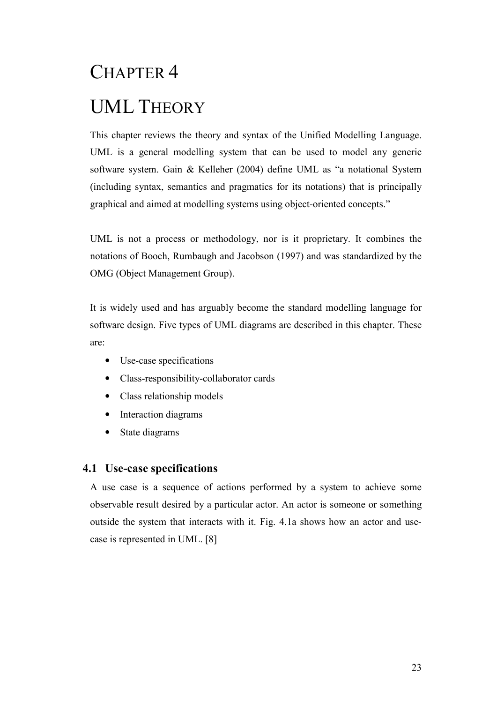# CHAPTER 4 UML THEORY

This chapter reviews the theory and syntax of the Unified Modelling Language. UML is a general modelling system that can be used to model any generic software system. Gain & Kelleher (2004) define UML as "a notational System (including syntax, semantics and pragmatics for its notations) that is principally graphical and aimed at modelling systems using object-oriented concepts."

UML is not a process or methodology, nor is it proprietary. It combines the notations of Booch, Rumbaugh and Jacobson (1997) and was standardized by the OMG (Object Management Group).

It is widely used and has arguably become the standard modelling language for software design. Five types of UML diagrams are described in this chapter. These are:

- Use-case specifications
- Class-responsibility-collaborator cards
- Class relationship models
- Interaction diagrams
- State diagrams

#### 4.1 Use-case specifications

A use case is a sequence of actions performed by a system to achieve some observable result desired by a particular actor. An actor is someone or something outside the system that interacts with it. Fig. 4.1a shows how an actor and usecase is represented in UML. [8]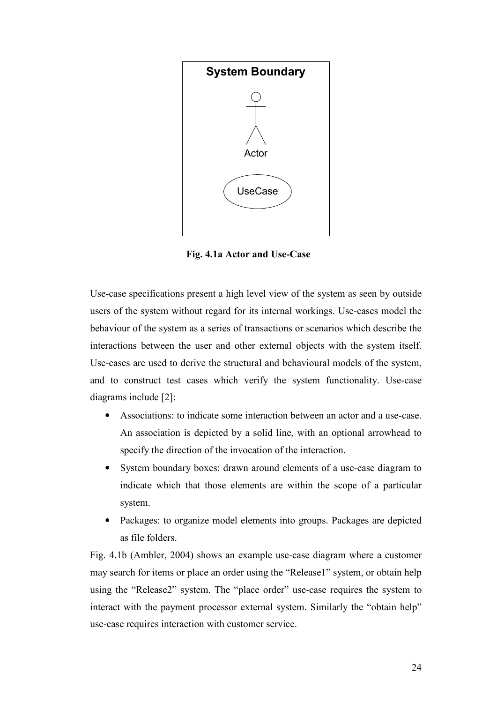

Fig. 4.1a Actor and Use-Case

Use-case specifications present a high level view of the system as seen by outside users of the system without regard for its internal workings. Use-cases model the behaviour of the system as a series of transactions or scenarios which describe the interactions between the user and other external objects with the system itself. Use-cases are used to derive the structural and behavioural models of the system, and to construct test cases which verify the system functionality. Use-case diagrams include [2]:

- Associations: to indicate some interaction between an actor and a use-case. An association is depicted by a solid line, with an optional arrowhead to specify the direction of the invocation of the interaction.
- System boundary boxes: drawn around elements of a use-case diagram to indicate which that those elements are within the scope of a particular system.
- Packages: to organize model elements into groups. Packages are depicted as file folders.

Fig. 4.1b (Ambler, 2004) shows an example use-case diagram where a customer may search for items or place an order using the "Release1" system, or obtain help using the "Release2" system. The "place order" use-case requires the system to interact with the payment processor external system. Similarly the "obtain help" use-case requires interaction with customer service.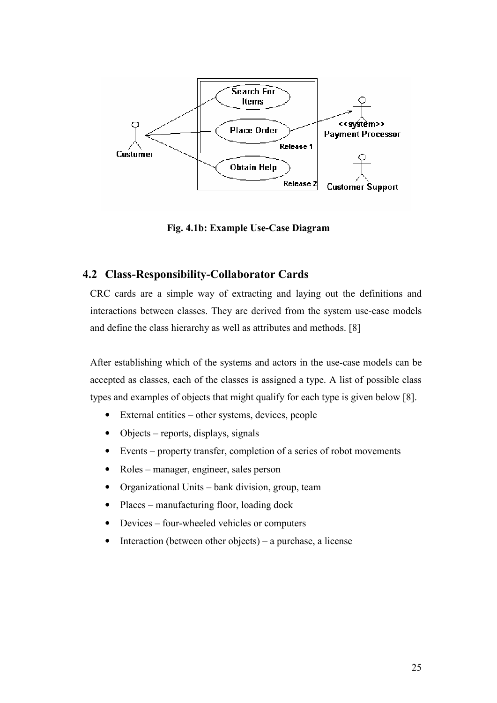

Fig. 4.1b: Example Use-Case Diagram

## 4.2 Class-Responsibility-Collaborator Cards

CRC cards are a simple way of extracting and laying out the definitions and interactions between classes. They are derived from the system use-case models and define the class hierarchy as well as attributes and methods. [8]

After establishing which of the systems and actors in the use-case models can be accepted as classes, each of the classes is assigned a type. A list of possible class types and examples of objects that might qualify for each type is given below [8].

- External entities other systems, devices, people
- Objects reports, displays, signals
- Events property transfer, completion of a series of robot movements
- Roles manager, engineer, sales person
- Organizational Units bank division, group, team
- Places manufacturing floor, loading dock
- Devices four-wheeled vehicles or computers
- Interaction (between other objects) a purchase, a license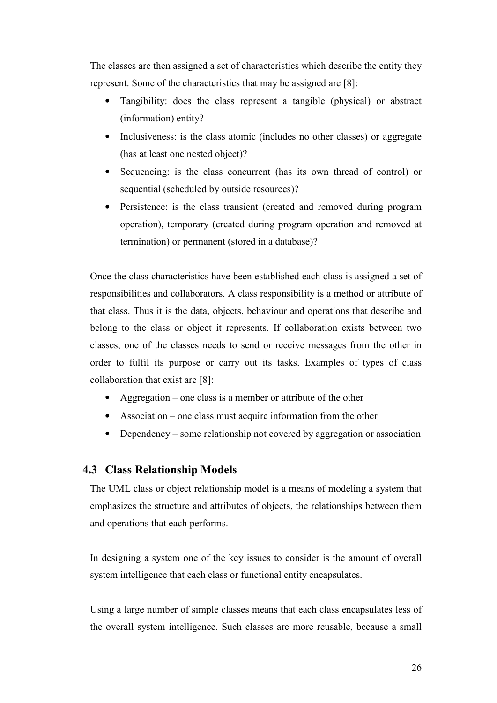The classes are then assigned a set of characteristics which describe the entity they represent. Some of the characteristics that may be assigned are [8]:

- Tangibility: does the class represent a tangible (physical) or abstract (information) entity?
- Inclusiveness: is the class atomic (includes no other classes) or aggregate (has at least one nested object)?
- Sequencing: is the class concurrent (has its own thread of control) or sequential (scheduled by outside resources)?
- Persistence: is the class transient (created and removed during program operation), temporary (created during program operation and removed at termination) or permanent (stored in a database)?

Once the class characteristics have been established each class is assigned a set of responsibilities and collaborators. A class responsibility is a method or attribute of that class. Thus it is the data, objects, behaviour and operations that describe and belong to the class or object it represents. If collaboration exists between two classes, one of the classes needs to send or receive messages from the other in order to fulfil its purpose or carry out its tasks. Examples of types of class collaboration that exist are [8]:

- Aggregation one class is a member or attribute of the other
- Association one class must acquire information from the other
- Dependency some relationship not covered by aggregation or association

#### 4.3 Class Relationship Models

The UML class or object relationship model is a means of modeling a system that emphasizes the structure and attributes of objects, the relationships between them and operations that each performs.

In designing a system one of the key issues to consider is the amount of overall system intelligence that each class or functional entity encapsulates.

Using a large number of simple classes means that each class encapsulates less of the overall system intelligence. Such classes are more reusable, because a small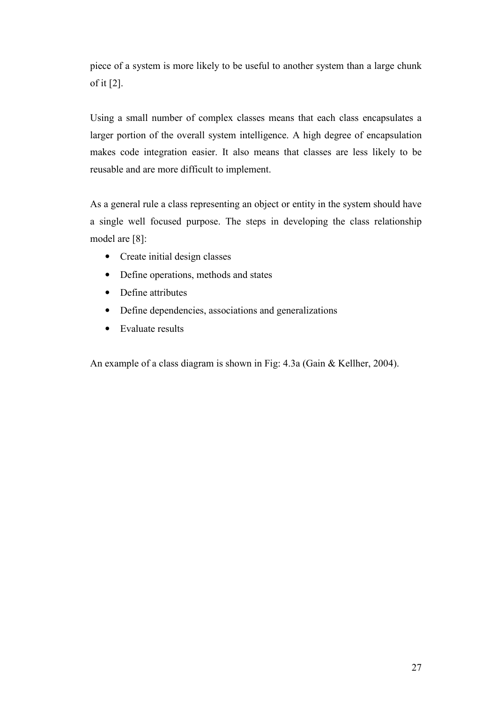piece of a system is more likely to be useful to another system than a large chunk of it [2].

Using a small number of complex classes means that each class encapsulates a larger portion of the overall system intelligence. A high degree of encapsulation makes code integration easier. It also means that classes are less likely to be reusable and are more difficult to implement.

As a general rule a class representing an object or entity in the system should have a single well focused purpose. The steps in developing the class relationship model are [8]:

- Create initial design classes
- Define operations, methods and states
- Define attributes
- Define dependencies, associations and generalizations
- Evaluate results

An example of a class diagram is shown in Fig: 4.3a (Gain & Kellher, 2004).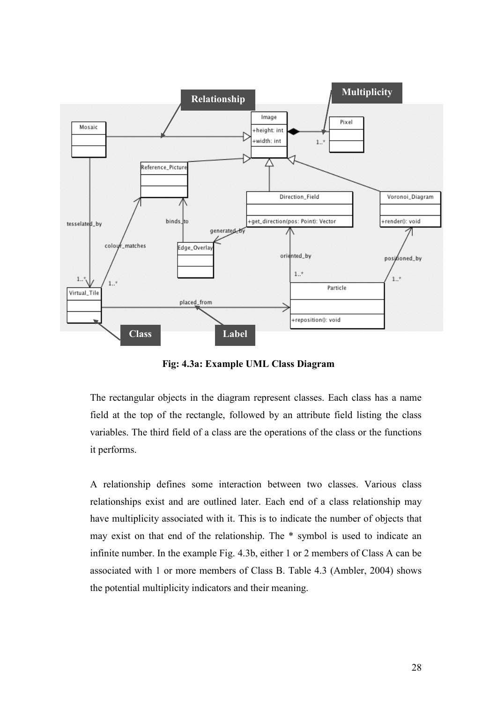

Fig: 4.3a: Example UML Class Diagram

The rectangular objects in the diagram represent classes. Each class has a name field at the top of the rectangle, followed by an attribute field listing the class variables. The third field of a class are the operations of the class or the functions it performs.

A relationship defines some interaction between two classes. Various class relationships exist and are outlined later. Each end of a class relationship may have multiplicity associated with it. This is to indicate the number of objects that may exist on that end of the relationship. The \* symbol is used to indicate an infinite number. In the example Fig. 4.3b, either 1 or 2 members of Class A can be associated with 1 or more members of Class B. Table 4.3 (Ambler, 2004) shows the potential multiplicity indicators and their meaning.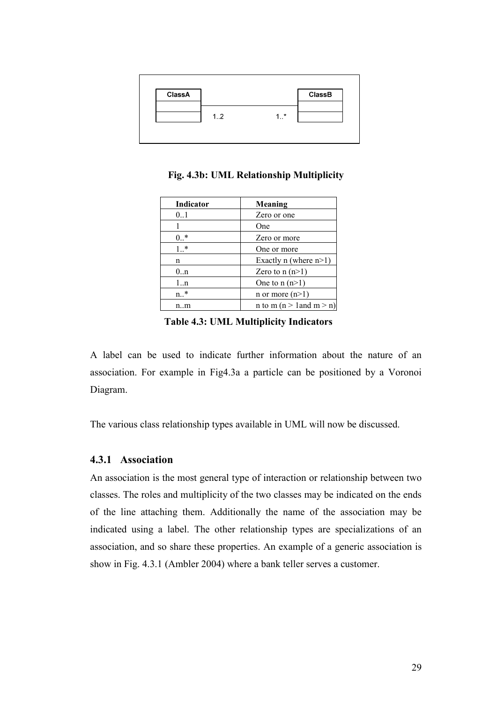

Fig. 4.3b: UML Relationship Multiplicity

| <b>Indicator</b> | Meaning                  |
|------------------|--------------------------|
| 0.1              | Zero or one              |
|                  | One                      |
| $0.$ *           | Zero or more             |
| $1.*$            | One or more              |
| n                | Exactly n (where $n>1$ ) |
| 0 <sub>nn</sub>  | Zero to $n(n>1)$         |
| 1n               | One to $n(n>1)$          |
| $n.*$            | n or more $(n>1)$        |
| n…m              | n to m (n > 1 and m > n) |

Table 4.3: UML Multiplicity Indicators

A label can be used to indicate further information about the nature of an association. For example in Fig4.3a a particle can be positioned by a Voronoi Diagram.

The various class relationship types available in UML will now be discussed.

#### 4.3.1 Association

An association is the most general type of interaction or relationship between two classes. The roles and multiplicity of the two classes may be indicated on the ends of the line attaching them. Additionally the name of the association may be indicated using a label. The other relationship types are specializations of an association, and so share these properties. An example of a generic association is show in Fig. 4.3.1 (Ambler 2004) where a bank teller serves a customer.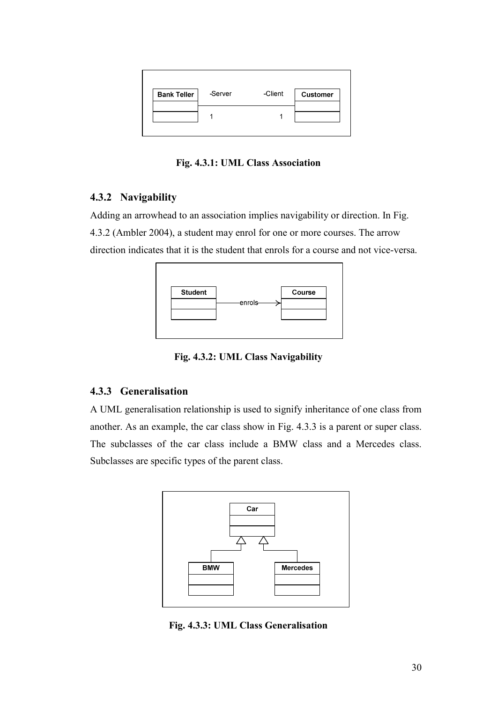

Fig. 4.3.1: UML Class Association

## 4.3.2 Navigability

Adding an arrowhead to an association implies navigability or direction. In Fig. 4.3.2 (Ambler 2004), a student may enrol for one or more courses. The arrow direction indicates that it is the student that enrols for a course and not vice-versa.



Fig. 4.3.2: UML Class Navigability

## 4.3.3 Generalisation

A UML generalisation relationship is used to signify inheritance of one class from another. As an example, the car class show in Fig. 4.3.3 is a parent or super class. The subclasses of the car class include a BMW class and a Mercedes class. Subclasses are specific types of the parent class.



Fig. 4.3.3: UML Class Generalisation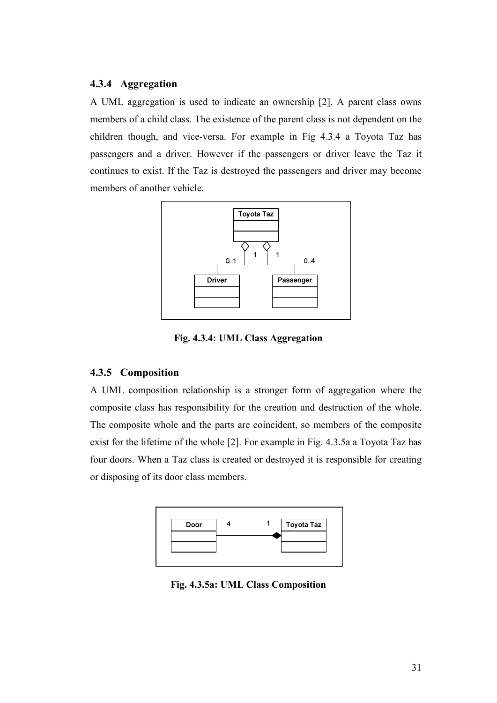#### 4.3.4 Aggregation

A UML aggregation is used to indicate an ownership [2]. A parent class owns members of a child class. The existence of the parent class is not dependent on the children though, and vice-versa. For example in Fig 4.3.4 a Toyota Taz has passengers and a driver. However if the passengers or driver leave the Taz it continues to exist. If the Taz is destroyed the passengers and driver may become members of another vehicle.



Fig. 4.3.4: UML Class Aggregation

#### 4.3.5 Composition

A UML composition relationship is a stronger form of aggregation where the composite class has responsibility for the creation and destruction of the whole. The composite whole and the parts are coincident, so members of the composite exist for the lifetime of the whole [2]. For example in Fig. 4.3.5a a Toyota Taz has four doors. When a Taz class is created or destroyed it is responsible for creating or disposing of its door class members.



Fig. 4.3.5a: UML Class Composition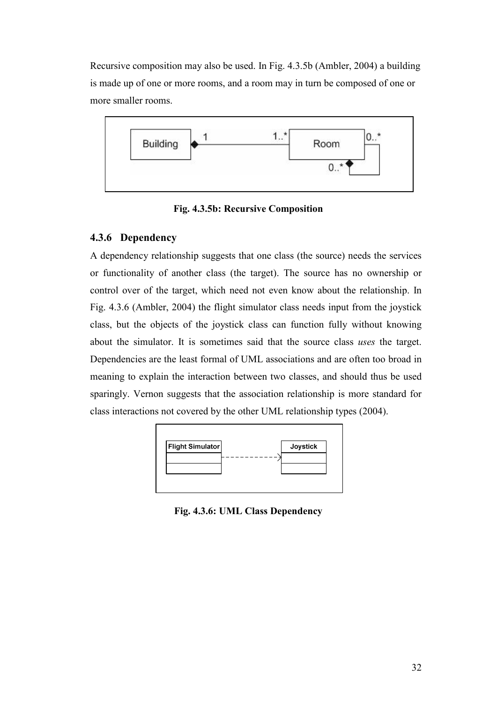Recursive composition may also be used. In Fig. 4.3.5b (Ambler, 2004) a building is made up of one or more rooms, and a room may in turn be composed of one or more smaller rooms.



Fig. 4.3.5b: Recursive Composition

## 4.3.6 Dependency

A dependency relationship suggests that one class (the source) needs the services or functionality of another class (the target). The source has no ownership or control over of the target, which need not even know about the relationship. In Fig. 4.3.6 (Ambler, 2004) the flight simulator class needs input from the joystick class, but the objects of the joystick class can function fully without knowing about the simulator. It is sometimes said that the source class uses the target. Dependencies are the least formal of UML associations and are often too broad in meaning to explain the interaction between two classes, and should thus be used sparingly. Vernon suggests that the association relationship is more standard for class interactions not covered by the other UML relationship types (2004).



Fig. 4.3.6: UML Class Dependency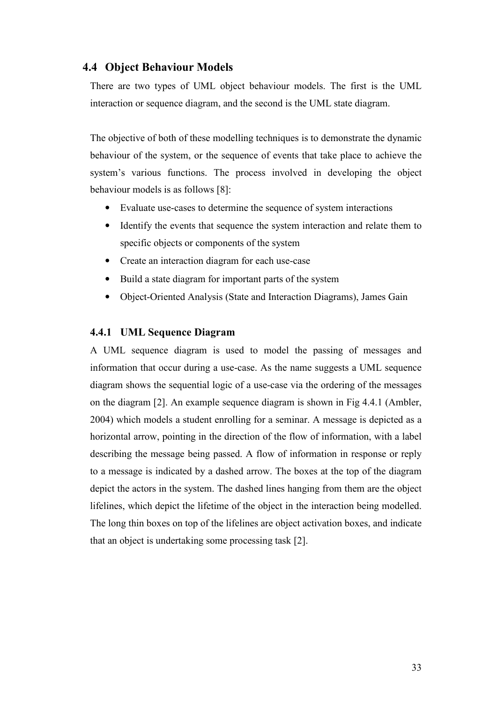#### 4.4 Object Behaviour Models

There are two types of UML object behaviour models. The first is the UML interaction or sequence diagram, and the second is the UML state diagram.

The objective of both of these modelling techniques is to demonstrate the dynamic behaviour of the system, or the sequence of events that take place to achieve the system's various functions. The process involved in developing the object behaviour models is as follows [8]:

- Evaluate use-cases to determine the sequence of system interactions
- Identify the events that sequence the system interaction and relate them to specific objects or components of the system
- Create an interaction diagram for each use-case
- Build a state diagram for important parts of the system
- Object-Oriented Analysis (State and Interaction Diagrams), James Gain

#### 4.4.1 UML Sequence Diagram

A UML sequence diagram is used to model the passing of messages and information that occur during a use-case. As the name suggests a UML sequence diagram shows the sequential logic of a use-case via the ordering of the messages on the diagram [2]. An example sequence diagram is shown in Fig 4.4.1 (Ambler, 2004) which models a student enrolling for a seminar. A message is depicted as a horizontal arrow, pointing in the direction of the flow of information, with a label describing the message being passed. A flow of information in response or reply to a message is indicated by a dashed arrow. The boxes at the top of the diagram depict the actors in the system. The dashed lines hanging from them are the object lifelines, which depict the lifetime of the object in the interaction being modelled. The long thin boxes on top of the lifelines are object activation boxes, and indicate that an object is undertaking some processing task [2].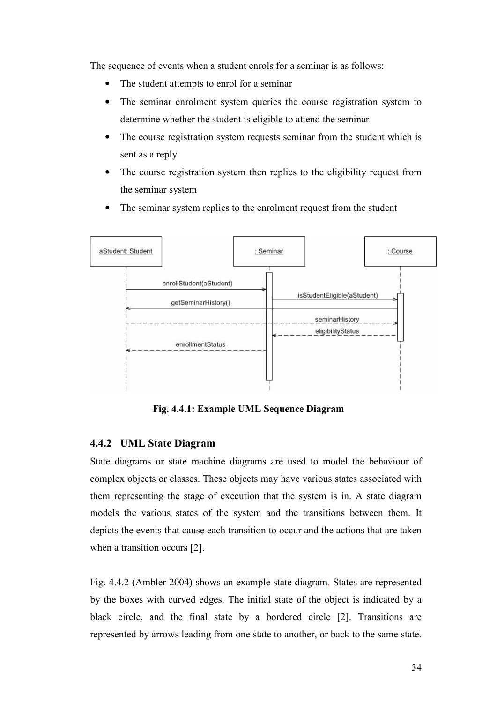The sequence of events when a student enrols for a seminar is as follows:

- The student attempts to enrol for a seminar
- The seminar enrolment system queries the course registration system to determine whether the student is eligible to attend the seminar
- The course registration system requests seminar from the student which is sent as a reply
- The course registration system then replies to the eligibility request from the seminar system
- The seminar system replies to the enrolment request from the student



Fig. 4.4.1: Example UML Sequence Diagram

#### 4.4.2 UML State Diagram

State diagrams or state machine diagrams are used to model the behaviour of complex objects or classes. These objects may have various states associated with them representing the stage of execution that the system is in. A state diagram models the various states of the system and the transitions between them. It depicts the events that cause each transition to occur and the actions that are taken when a transition occurs [2].

Fig. 4.4.2 (Ambler 2004) shows an example state diagram. States are represented by the boxes with curved edges. The initial state of the object is indicated by a black circle, and the final state by a bordered circle [2]. Transitions are represented by arrows leading from one state to another, or back to the same state.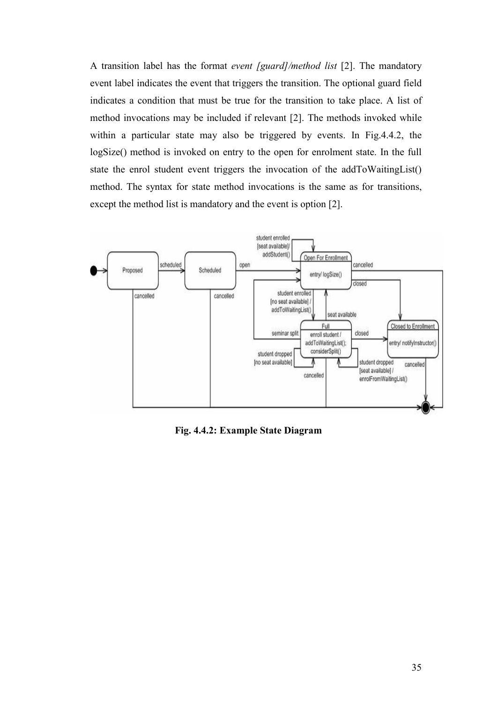A transition label has the format event [guard]/method list [2]. The mandatory event label indicates the event that triggers the transition. The optional guard field indicates a condition that must be true for the transition to take place. A list of method invocations may be included if relevant [2]. The methods invoked while within a particular state may also be triggered by events. In Fig.4.4.2, the logSize() method is invoked on entry to the open for enrolment state. In the full state the enrol student event triggers the invocation of the addToWaitingList() method. The syntax for state method invocations is the same as for transitions, except the method list is mandatory and the event is option [2].



Fig. 4.4.2: Example State Diagram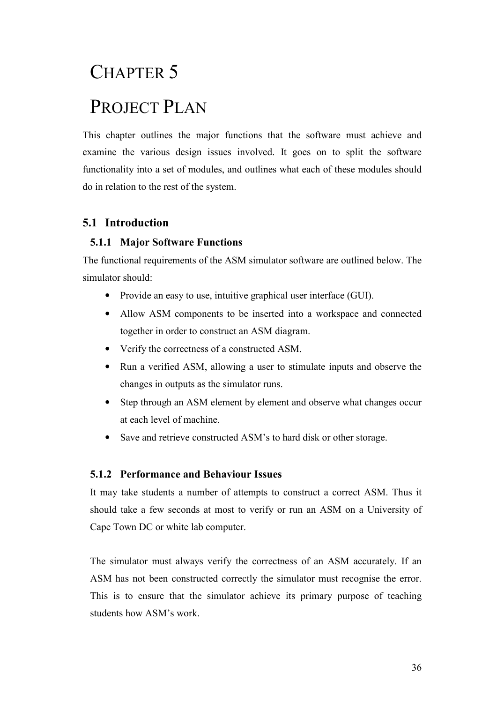# CHAPTER 5 PROJECT PLAN

This chapter outlines the major functions that the software must achieve and examine the various design issues involved. It goes on to split the software functionality into a set of modules, and outlines what each of these modules should do in relation to the rest of the system.

# 5.1 Introduction

## 5.1.1 Major Software Functions

The functional requirements of the ASM simulator software are outlined below. The simulator should:

- Provide an easy to use, intuitive graphical user interface (GUI).
- Allow ASM components to be inserted into a workspace and connected together in order to construct an ASM diagram.
- Verify the correctness of a constructed ASM.
- Run a verified ASM, allowing a user to stimulate inputs and observe the changes in outputs as the simulator runs.
- Step through an ASM element by element and observe what changes occur at each level of machine.
- Save and retrieve constructed ASM's to hard disk or other storage.

## 5.1.2 Performance and Behaviour Issues

It may take students a number of attempts to construct a correct ASM. Thus it should take a few seconds at most to verify or run an ASM on a University of Cape Town DC or white lab computer.

The simulator must always verify the correctness of an ASM accurately. If an ASM has not been constructed correctly the simulator must recognise the error. This is to ensure that the simulator achieve its primary purpose of teaching students how ASM's work.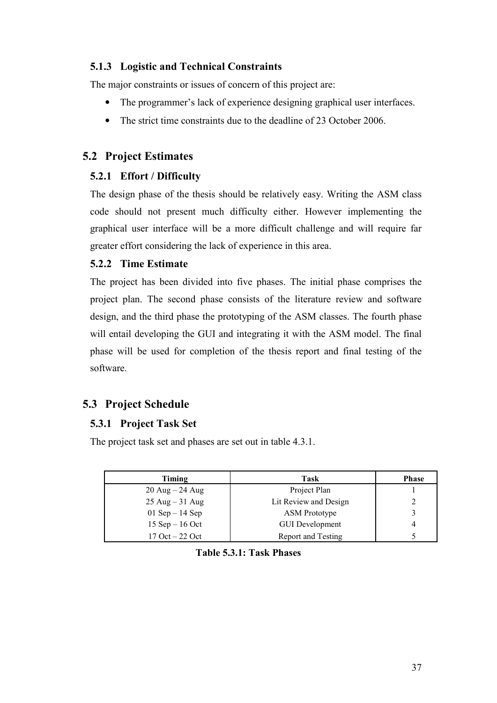## 5.1.3 Logistic and Technical Constraints

The major constraints or issues of concern of this project are:

- The programmer's lack of experience designing graphical user interfaces.
- The strict time constraints due to the deadline of 23 October 2006.

# 5.2 Project Estimates

## 5.2.1 Effort / Difficulty

The design phase of the thesis should be relatively easy. Writing the ASM class code should not present much difficulty either. However implementing the graphical user interface will be a more difficult challenge and will require far greater effort considering the lack of experience in this area.

## 5.2.2 Time Estimate

The project has been divided into five phases. The initial phase comprises the project plan. The second phase consists of the literature review and software design, and the third phase the prototyping of the ASM classes. The fourth phase will entail developing the GUI and integrating it with the ASM model. The final phase will be used for completion of the thesis report and final testing of the software.

# 5.3 Project Schedule

## 5.3.1 Project Task Set

The project task set and phases are set out in table 4.3.1.

| Timing                            | Task                   | <b>Phase</b> |
|-----------------------------------|------------------------|--------------|
| $20$ Aug $- 24$ Aug               | Project Plan           |              |
| $25 \text{ Aug} - 31 \text{ Aug}$ | Lit Review and Design  | າ            |
| 01 Sep $-$ 14 Sep                 | <b>ASM</b> Prototype   |              |
| 15 Sep $-$ 16 Oct                 | <b>GUI Development</b> | 4            |
| $17$ Oct $-$ 22 Oct               | Report and Testing     |              |

Table 5.3.1: Task Phases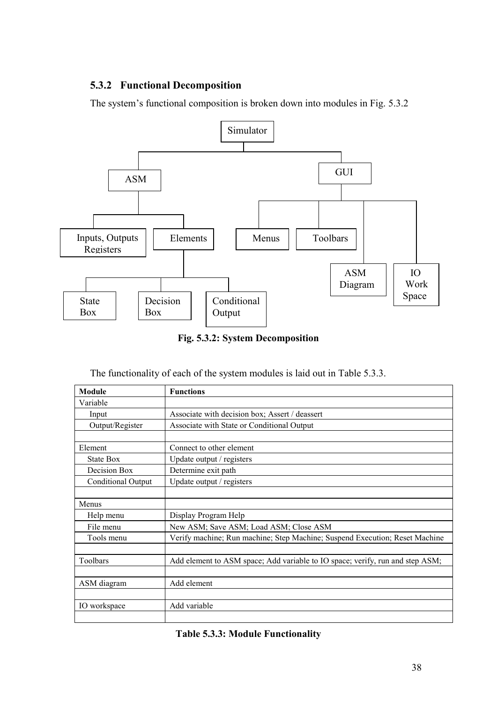## 5.3.2 Functional Decomposition

The system's functional composition is broken down into modules in Fig. 5.3.2



Fig. 5.3.2: System Decomposition

The functionality of each of the system modules is laid out in Table 5.3.3.

| Module             | <b>Functions</b>                                                              |
|--------------------|-------------------------------------------------------------------------------|
| Variable           |                                                                               |
| Input              | Associate with decision box; Assert / deassert                                |
| Output/Register    | Associate with State or Conditional Output                                    |
|                    |                                                                               |
| Element            | Connect to other element                                                      |
| State Box          | Update output / registers                                                     |
| Decision Box       | Determine exit path                                                           |
| Conditional Output | Update output / registers                                                     |
|                    |                                                                               |
| Menus              |                                                                               |
| Help menu          | Display Program Help                                                          |
| File menu          | New ASM; Save ASM; Load ASM; Close ASM                                        |
| Tools menu         | Verify machine; Run machine; Step Machine; Suspend Execution; Reset Machine   |
|                    |                                                                               |
| Toolbars           | Add element to ASM space; Add variable to IO space; verify, run and step ASM; |
|                    |                                                                               |
| ASM diagram        | Add element                                                                   |
|                    |                                                                               |
| IO workspace       | Add variable                                                                  |
|                    |                                                                               |

#### Table 5.3.3: Module Functionality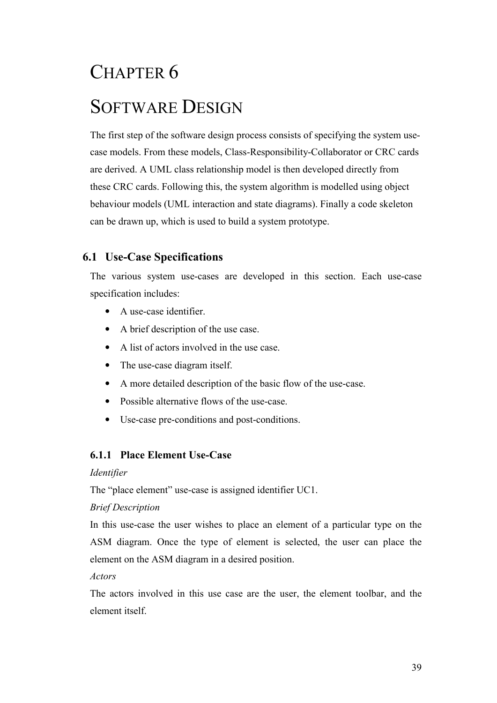# CHAPTER 6 SOFTWARE DESIGN

The first step of the software design process consists of specifying the system usecase models. From these models, Class-Responsibility-Collaborator or CRC cards are derived. A UML class relationship model is then developed directly from these CRC cards. Following this, the system algorithm is modelled using object behaviour models (UML interaction and state diagrams). Finally a code skeleton can be drawn up, which is used to build a system prototype.

## 6.1 Use-Case Specifications

The various system use-cases are developed in this section. Each use-case specification includes:

- A use-case identifier.
- A brief description of the use case.
- A list of actors involved in the use case.
- The use-case diagram itself.
- A more detailed description of the basic flow of the use-case.
- Possible alternative flows of the use-case.
- Use-case pre-conditions and post-conditions.

## 6.1.1 Place Element Use-Case

#### Identifier

The "place element" use-case is assigned identifier UC1.

#### Brief Description

In this use-case the user wishes to place an element of a particular type on the ASM diagram. Once the type of element is selected, the user can place the element on the ASM diagram in a desired position.

Actors

The actors involved in this use case are the user, the element toolbar, and the element itself.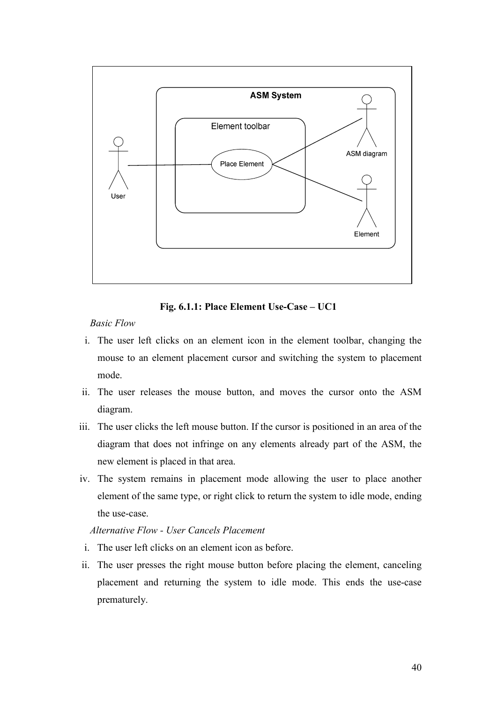

Fig. 6.1.1: Place Element Use-Case – UC1

- i. The user left clicks on an element icon in the element toolbar, changing the mouse to an element placement cursor and switching the system to placement mode.
- ii. The user releases the mouse button, and moves the cursor onto the ASM diagram.
- iii. The user clicks the left mouse button. If the cursor is positioned in an area of the diagram that does not infringe on any elements already part of the ASM, the new element is placed in that area.
- iv. The system remains in placement mode allowing the user to place another element of the same type, or right click to return the system to idle mode, ending the use-case.

Alternative Flow - User Cancels Placement

- i. The user left clicks on an element icon as before.
- ii. The user presses the right mouse button before placing the element, canceling placement and returning the system to idle mode. This ends the use-case prematurely.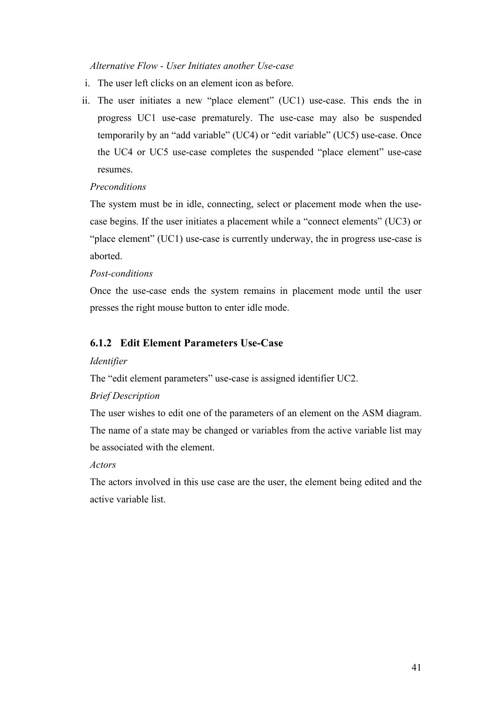#### Alternative Flow - User Initiates another Use-case

- i. The user left clicks on an element icon as before.
- ii. The user initiates a new "place element" (UC1) use-case. This ends the in progress UC1 use-case prematurely. The use-case may also be suspended temporarily by an "add variable" (UC4) or "edit variable" (UC5) use-case. Once the UC4 or UC5 use-case completes the suspended "place element" use-case resumes.

#### Preconditions

The system must be in idle, connecting, select or placement mode when the usecase begins. If the user initiates a placement while a "connect elements" (UC3) or "place element" (UC1) use-case is currently underway, the in progress use-case is aborted.

#### Post-conditions

Once the use-case ends the system remains in placement mode until the user presses the right mouse button to enter idle mode.

## 6.1.2 Edit Element Parameters Use-Case

#### Identifier

The "edit element parameters" use-case is assigned identifier UC2.

#### Brief Description

The user wishes to edit one of the parameters of an element on the ASM diagram. The name of a state may be changed or variables from the active variable list may be associated with the element.

#### Actors

The actors involved in this use case are the user, the element being edited and the active variable list.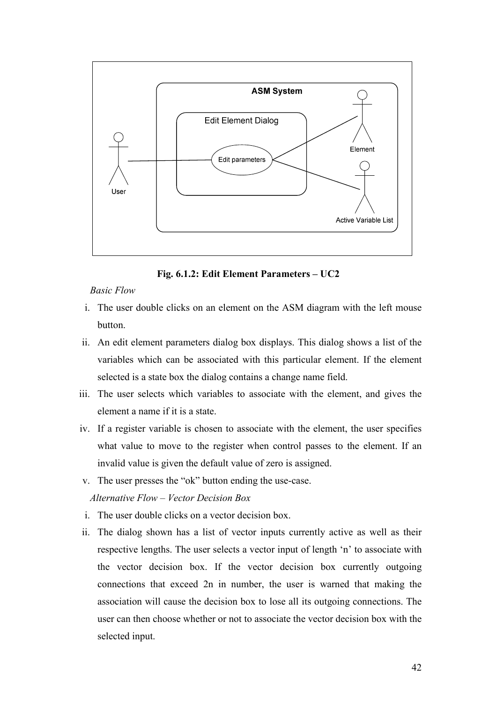

Fig. 6.1.2: Edit Element Parameters – UC2

- i. The user double clicks on an element on the ASM diagram with the left mouse button.
- ii. An edit element parameters dialog box displays. This dialog shows a list of the variables which can be associated with this particular element. If the element selected is a state box the dialog contains a change name field.
- iii. The user selects which variables to associate with the element, and gives the element a name if it is a state.
- iv. If a register variable is chosen to associate with the element, the user specifies what value to move to the register when control passes to the element. If an invalid value is given the default value of zero is assigned.
- v. The user presses the "ok" button ending the use-case.

#### Alternative Flow – Vector Decision Box

- i. The user double clicks on a vector decision box.
- ii. The dialog shown has a list of vector inputs currently active as well as their respective lengths. The user selects a vector input of length 'n' to associate with the vector decision box. If the vector decision box currently outgoing connections that exceed 2n in number, the user is warned that making the association will cause the decision box to lose all its outgoing connections. The user can then choose whether or not to associate the vector decision box with the selected input.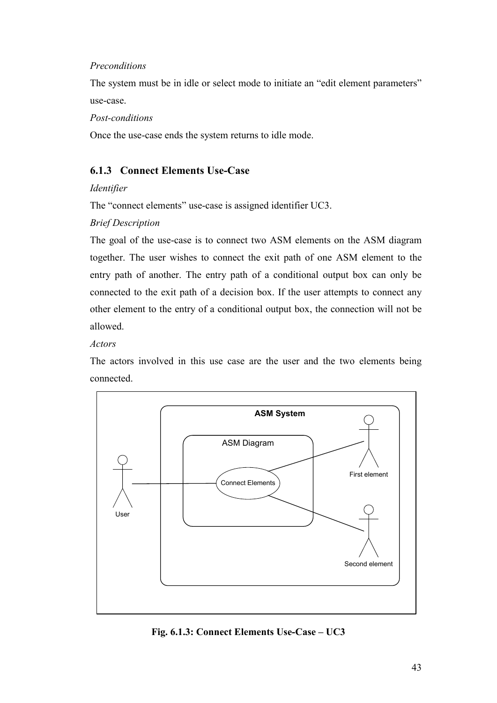#### Preconditions

The system must be in idle or select mode to initiate an "edit element parameters" use-case.

Post-conditions

Once the use-case ends the system returns to idle mode.

## 6.1.3 Connect Elements Use-Case

#### Identifier

The "connect elements" use-case is assigned identifier UC3.

## Brief Description

The goal of the use-case is to connect two ASM elements on the ASM diagram together. The user wishes to connect the exit path of one ASM element to the entry path of another. The entry path of a conditional output box can only be connected to the exit path of a decision box. If the user attempts to connect any other element to the entry of a conditional output box, the connection will not be allowed.

#### Actors

The actors involved in this use case are the user and the two elements being connected.



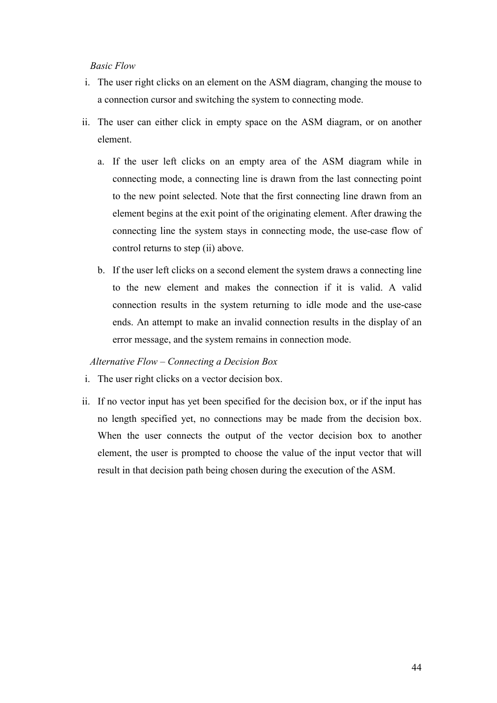- i. The user right clicks on an element on the ASM diagram, changing the mouse to a connection cursor and switching the system to connecting mode.
- ii. The user can either click in empty space on the ASM diagram, or on another element.
	- a. If the user left clicks on an empty area of the ASM diagram while in connecting mode, a connecting line is drawn from the last connecting point to the new point selected. Note that the first connecting line drawn from an element begins at the exit point of the originating element. After drawing the connecting line the system stays in connecting mode, the use-case flow of control returns to step (ii) above.
	- b. If the user left clicks on a second element the system draws a connecting line to the new element and makes the connection if it is valid. A valid connection results in the system returning to idle mode and the use-case ends. An attempt to make an invalid connection results in the display of an error message, and the system remains in connection mode.

#### Alternative Flow – Connecting a Decision Box

- i. The user right clicks on a vector decision box.
- ii. If no vector input has yet been specified for the decision box, or if the input has no length specified yet, no connections may be made from the decision box. When the user connects the output of the vector decision box to another element, the user is prompted to choose the value of the input vector that will result in that decision path being chosen during the execution of the ASM.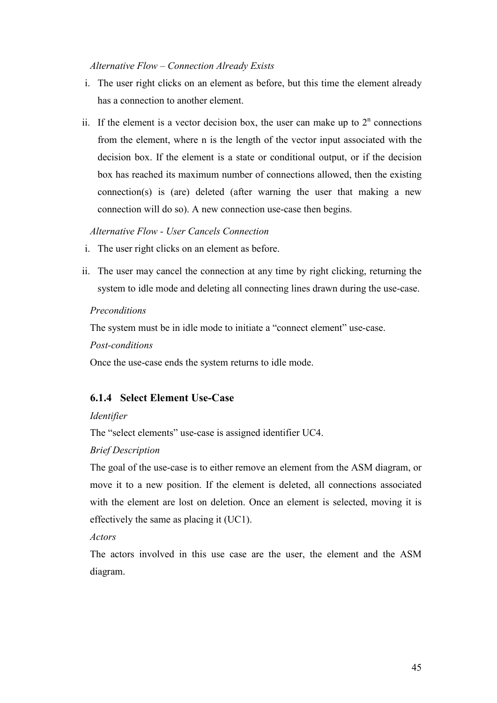#### Alternative Flow – Connection Already Exists

- i. The user right clicks on an element as before, but this time the element already has a connection to another element.
- ii. If the element is a vector decision box, the user can make up to  $2<sup>n</sup>$  connections from the element, where n is the length of the vector input associated with the decision box. If the element is a state or conditional output, or if the decision box has reached its maximum number of connections allowed, then the existing connection(s) is (are) deleted (after warning the user that making a new connection will do so). A new connection use-case then begins.

#### Alternative Flow - User Cancels Connection

- i. The user right clicks on an element as before.
- ii. The user may cancel the connection at any time by right clicking, returning the system to idle mode and deleting all connecting lines drawn during the use-case.

#### Preconditions

The system must be in idle mode to initiate a "connect element" use-case.

#### Post-conditions

Once the use-case ends the system returns to idle mode.

## 6.1.4 Select Element Use-Case

#### Identifier

The "select elements" use-case is assigned identifier UC4.

#### Brief Description

The goal of the use-case is to either remove an element from the ASM diagram, or move it to a new position. If the element is deleted, all connections associated with the element are lost on deletion. Once an element is selected, moving it is effectively the same as placing it (UC1).

#### Actors

The actors involved in this use case are the user, the element and the ASM diagram.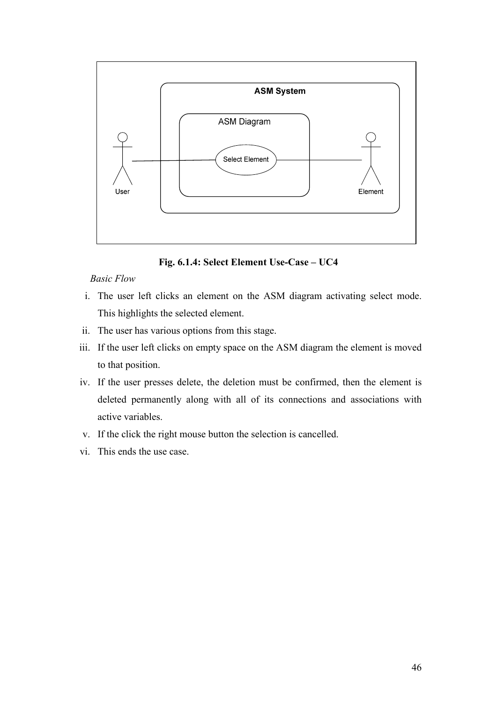

Fig. 6.1.4: Select Element Use-Case – UC4

- i. The user left clicks an element on the ASM diagram activating select mode. This highlights the selected element.
- ii. The user has various options from this stage.
- iii. If the user left clicks on empty space on the ASM diagram the element is moved to that position.
- iv. If the user presses delete, the deletion must be confirmed, then the element is deleted permanently along with all of its connections and associations with active variables.
- v. If the click the right mouse button the selection is cancelled.
- vi. This ends the use case.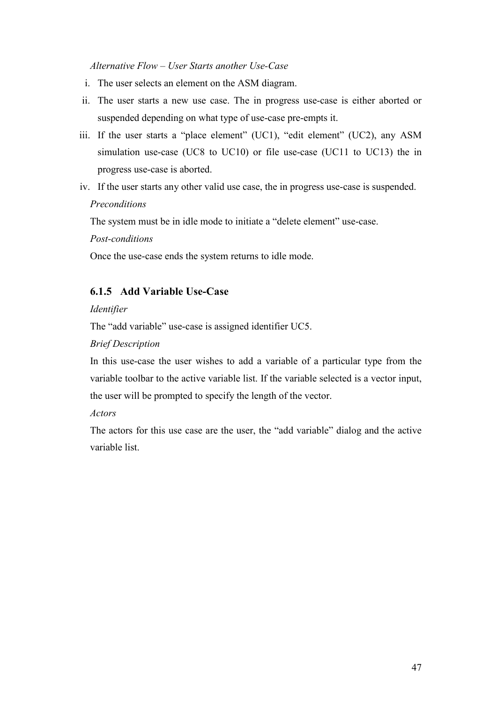Alternative Flow – User Starts another Use-Case

- i. The user selects an element on the ASM diagram.
- ii. The user starts a new use case. The in progress use-case is either aborted or suspended depending on what type of use-case pre-empts it.
- iii. If the user starts a "place element" (UC1), "edit element" (UC2), any ASM simulation use-case (UC8 to UC10) or file use-case (UC11 to UC13) the in progress use-case is aborted.
- iv. If the user starts any other valid use case, the in progress use-case is suspended. **Preconditions**

The system must be in idle mode to initiate a "delete element" use-case.

Post-conditions

Once the use-case ends the system returns to idle mode.

## 6.1.5 Add Variable Use-Case

#### Identifier

The "add variable" use-case is assigned identifier UC5.

#### Brief Description

In this use-case the user wishes to add a variable of a particular type from the variable toolbar to the active variable list. If the variable selected is a vector input, the user will be prompted to specify the length of the vector.

#### Actors

The actors for this use case are the user, the "add variable" dialog and the active variable list.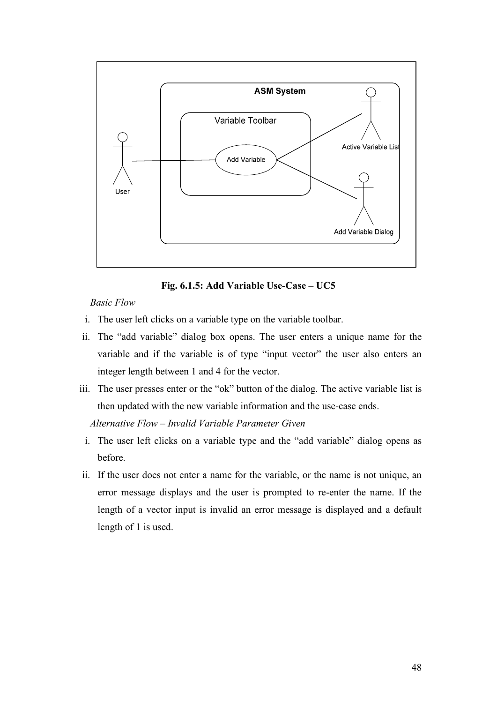

Fig. 6.1.5: Add Variable Use-Case – UC5

- i. The user left clicks on a variable type on the variable toolbar.
- ii. The "add variable" dialog box opens. The user enters a unique name for the variable and if the variable is of type "input vector" the user also enters an integer length between 1 and 4 for the vector.
- iii. The user presses enter or the "ok" button of the dialog. The active variable list is then updated with the new variable information and the use-case ends.

Alternative Flow – Invalid Variable Parameter Given

- i. The user left clicks on a variable type and the "add variable" dialog opens as before.
- ii. If the user does not enter a name for the variable, or the name is not unique, an error message displays and the user is prompted to re-enter the name. If the length of a vector input is invalid an error message is displayed and a default length of 1 is used.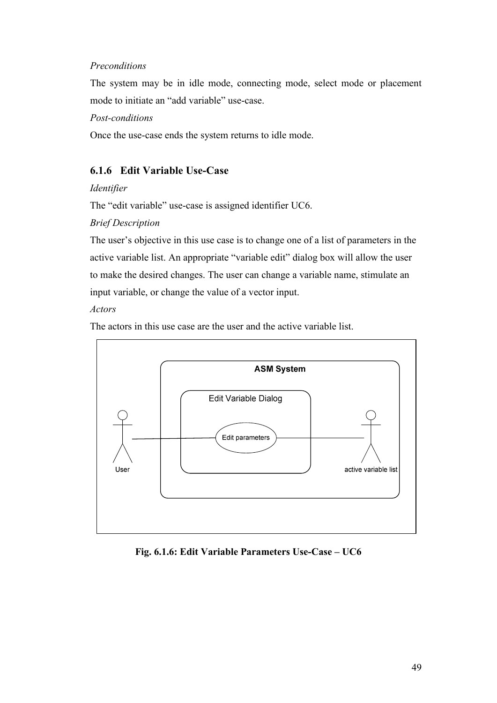#### Preconditions

The system may be in idle mode, connecting mode, select mode or placement mode to initiate an "add variable" use-case.

Post-conditions

Once the use-case ends the system returns to idle mode.

## 6.1.6 Edit Variable Use-Case

#### Identifier

The "edit variable" use-case is assigned identifier UC6.

Brief Description

The user's objective in this use case is to change one of a list of parameters in the active variable list. An appropriate "variable edit" dialog box will allow the user to make the desired changes. The user can change a variable name, stimulate an input variable, or change the value of a vector input.

## Actors

The actors in this use case are the user and the active variable list.



Fig. 6.1.6: Edit Variable Parameters Use-Case – UC6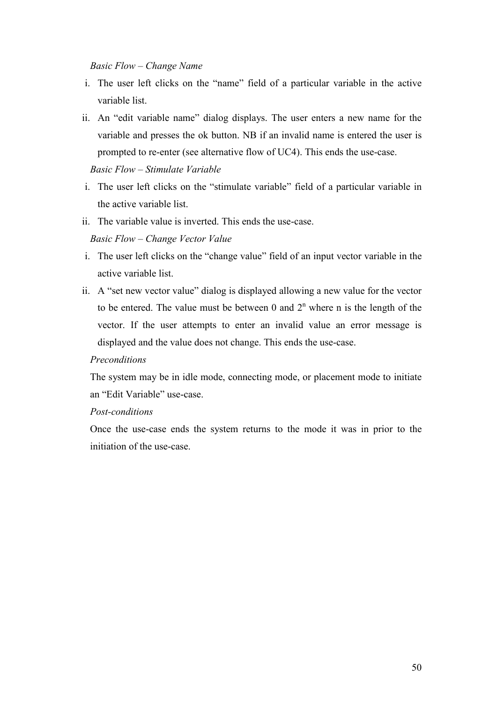#### Basic Flow – Change Name

- i. The user left clicks on the "name" field of a particular variable in the active variable list.
- ii. An "edit variable name" dialog displays. The user enters a new name for the variable and presses the ok button. NB if an invalid name is entered the user is prompted to re-enter (see alternative flow of UC4). This ends the use-case.

Basic Flow – Stimulate Variable

- i. The user left clicks on the "stimulate variable" field of a particular variable in the active variable list.
- ii. The variable value is inverted. This ends the use-case.

#### Basic Flow – Change Vector Value

- i. The user left clicks on the "change value" field of an input vector variable in the active variable list.
- ii. A "set new vector value" dialog is displayed allowing a new value for the vector to be entered. The value must be between 0 and  $2<sup>n</sup>$  where n is the length of the vector. If the user attempts to enter an invalid value an error message is displayed and the value does not change. This ends the use-case.

#### **Preconditions**

The system may be in idle mode, connecting mode, or placement mode to initiate an "Edit Variable" use-case.

#### Post-conditions

Once the use-case ends the system returns to the mode it was in prior to the initiation of the use-case.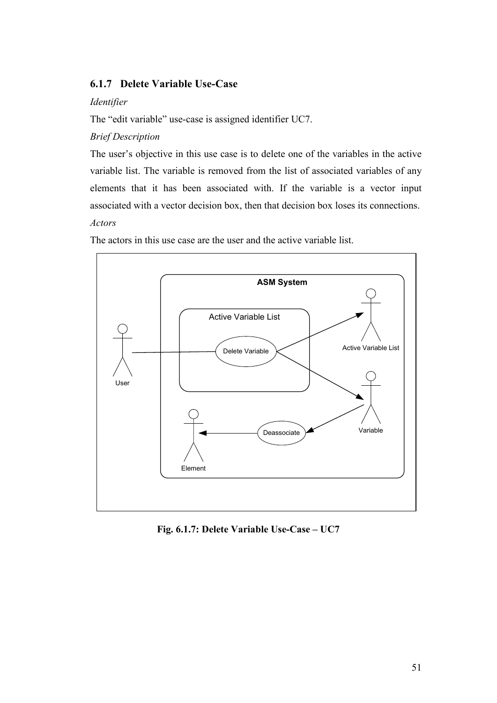## 6.1.7 Delete Variable Use-Case

#### Identifier

The "edit variable" use-case is assigned identifier UC7.

## Brief Description

The user's objective in this use case is to delete one of the variables in the active variable list. The variable is removed from the list of associated variables of any elements that it has been associated with. If the variable is a vector input associated with a vector decision box, then that decision box loses its connections. Actors

The actors in this use case are the user and the active variable list.



Fig. 6.1.7: Delete Variable Use-Case – UC7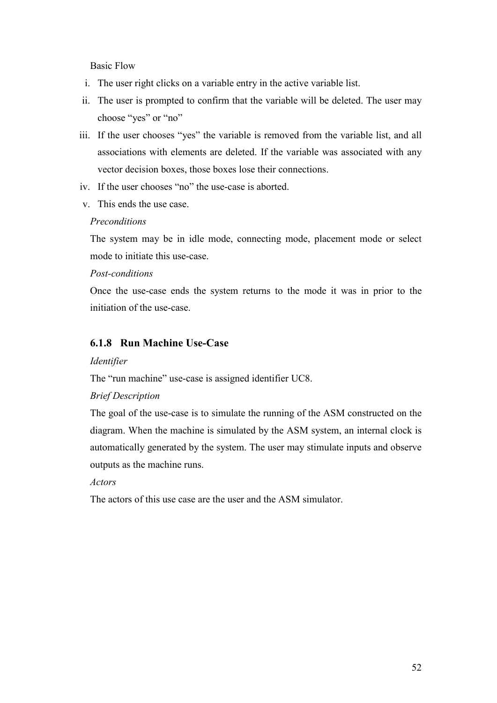- i. The user right clicks on a variable entry in the active variable list.
- ii. The user is prompted to confirm that the variable will be deleted. The user may choose "yes" or "no"
- iii. If the user chooses "yes" the variable is removed from the variable list, and all associations with elements are deleted. If the variable was associated with any vector decision boxes, those boxes lose their connections.
- iv. If the user chooses "no" the use-case is aborted.
- v. This ends the use case.

#### **Preconditions**

The system may be in idle mode, connecting mode, placement mode or select mode to initiate this use-case.

#### Post-conditions

Once the use-case ends the system returns to the mode it was in prior to the initiation of the use-case.

## 6.1.8 Run Machine Use-Case

#### Identifier

The "run machine" use-case is assigned identifier UC8.

#### Brief Description

The goal of the use-case is to simulate the running of the ASM constructed on the diagram. When the machine is simulated by the ASM system, an internal clock is automatically generated by the system. The user may stimulate inputs and observe outputs as the machine runs.

#### Actors

The actors of this use case are the user and the ASM simulator.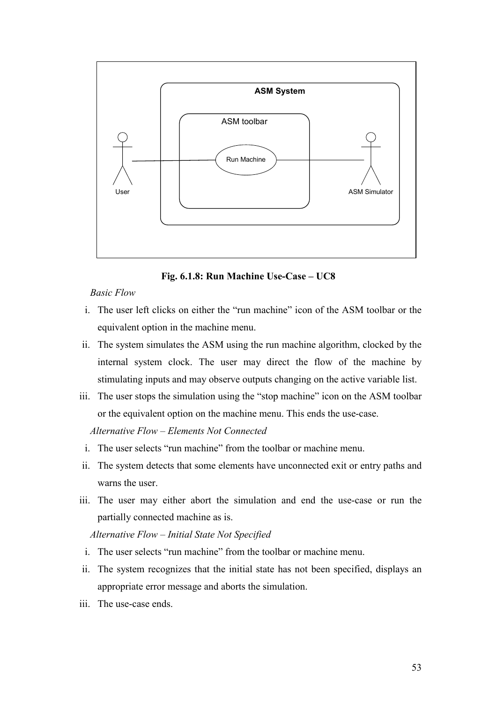

Fig. 6.1.8: Run Machine Use-Case – UC8

- i. The user left clicks on either the "run machine" icon of the ASM toolbar or the equivalent option in the machine menu.
- ii. The system simulates the ASM using the run machine algorithm, clocked by the internal system clock. The user may direct the flow of the machine by stimulating inputs and may observe outputs changing on the active variable list.
- iii. The user stops the simulation using the "stop machine" icon on the ASM toolbar or the equivalent option on the machine menu. This ends the use-case.

Alternative Flow – Elements Not Connected

- i. The user selects "run machine" from the toolbar or machine menu.
- ii. The system detects that some elements have unconnected exit or entry paths and warns the user.
- iii. The user may either abort the simulation and end the use-case or run the partially connected machine as is.

Alternative Flow – Initial State Not Specified

- i. The user selects "run machine" from the toolbar or machine menu.
- ii. The system recognizes that the initial state has not been specified, displays an appropriate error message and aborts the simulation.
- iii. The use-case ends.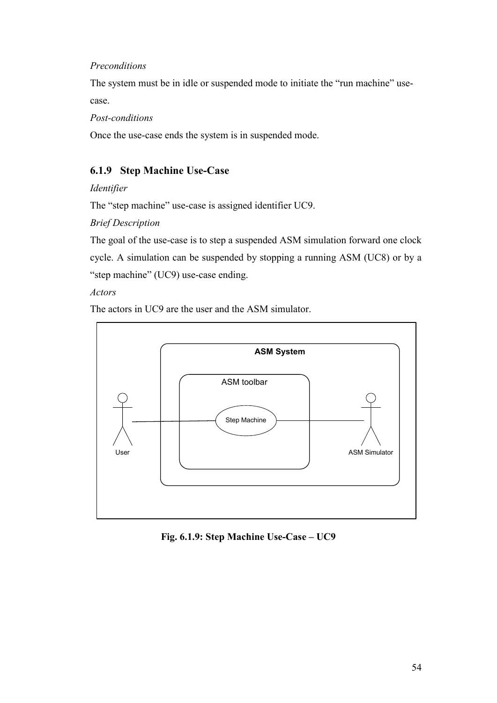#### Preconditions

The system must be in idle or suspended mode to initiate the "run machine" usecase.

Post-conditions

Once the use-case ends the system is in suspended mode.

## 6.1.9 Step Machine Use-Case

Identifier

The "step machine" use-case is assigned identifier UC9.

Brief Description

The goal of the use-case is to step a suspended ASM simulation forward one clock cycle. A simulation can be suspended by stopping a running ASM (UC8) or by a "step machine" (UC9) use-case ending.

Actors

The actors in UC9 are the user and the ASM simulator.



Fig. 6.1.9: Step Machine Use-Case – UC9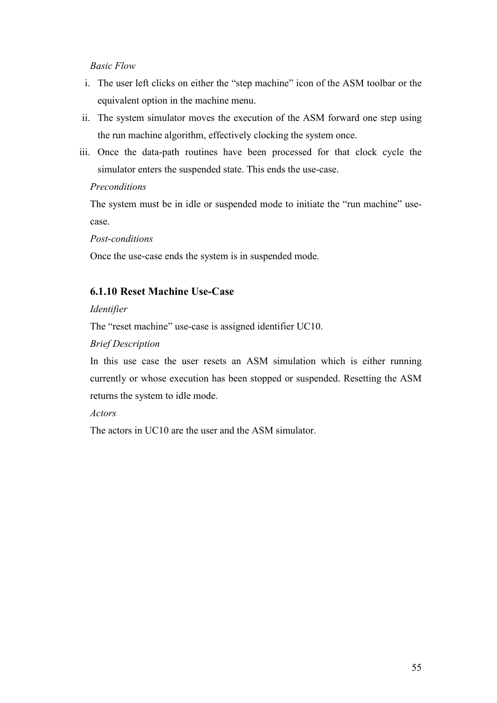- i. The user left clicks on either the "step machine" icon of the ASM toolbar or the equivalent option in the machine menu.
- ii. The system simulator moves the execution of the ASM forward one step using the run machine algorithm, effectively clocking the system once.
- iii. Once the data-path routines have been processed for that clock cycle the simulator enters the suspended state. This ends the use-case.

#### **Preconditions**

The system must be in idle or suspended mode to initiate the "run machine" usecase.

Post-conditions

Once the use-case ends the system is in suspended mode.

## 6.1.10 Reset Machine Use-Case

#### Identifier

The "reset machine" use-case is assigned identifier UC10.

#### Brief Description

In this use case the user resets an ASM simulation which is either running currently or whose execution has been stopped or suspended. Resetting the ASM returns the system to idle mode.

#### Actors

The actors in UC10 are the user and the ASM simulator.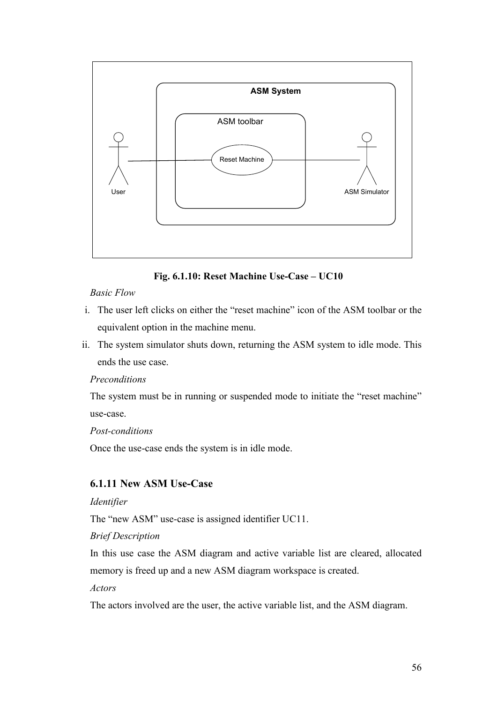

Fig. 6.1.10: Reset Machine Use-Case – UC10

- i. The user left clicks on either the "reset machine" icon of the ASM toolbar or the equivalent option in the machine menu.
- ii. The system simulator shuts down, returning the ASM system to idle mode. This ends the use case.

## Preconditions

The system must be in running or suspended mode to initiate the "reset machine" use-case.

#### Post-conditions

Once the use-case ends the system is in idle mode.

## 6.1.11 New ASM Use-Case

#### Identifier

The "new ASM" use-case is assigned identifier UC11.

#### Brief Description

In this use case the ASM diagram and active variable list are cleared, allocated memory is freed up and a new ASM diagram workspace is created.

#### Actors

The actors involved are the user, the active variable list, and the ASM diagram.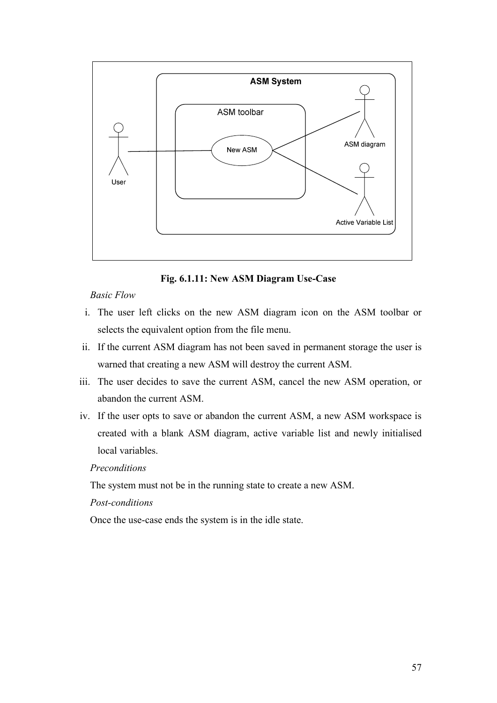

Fig. 6.1.11: New ASM Diagram Use-Case

- i. The user left clicks on the new ASM diagram icon on the ASM toolbar or selects the equivalent option from the file menu.
- ii. If the current ASM diagram has not been saved in permanent storage the user is warned that creating a new ASM will destroy the current ASM.
- iii. The user decides to save the current ASM, cancel the new ASM operation, or abandon the current ASM.
- iv. If the user opts to save or abandon the current ASM, a new ASM workspace is created with a blank ASM diagram, active variable list and newly initialised local variables.

#### Preconditions

The system must not be in the running state to create a new ASM.

## Post-conditions

Once the use-case ends the system is in the idle state.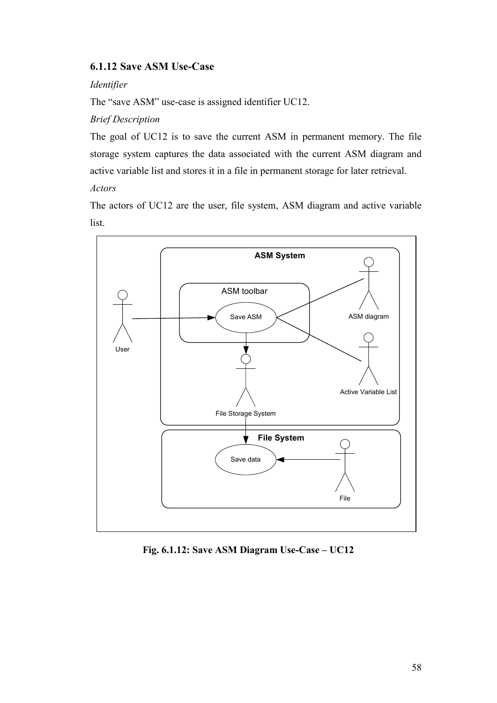## 6.1.12 Save ASM Use-Case

#### Identifier

The "save ASM" use-case is assigned identifier UC12.

## Brief Description

The goal of UC12 is to save the current ASM in permanent memory. The file storage system captures the data associated with the current ASM diagram and active variable list and stores it in a file in permanent storage for later retrieval.

## Actors

The actors of UC12 are the user, file system, ASM diagram and active variable list.



Fig. 6.1.12: Save ASM Diagram Use-Case – UC12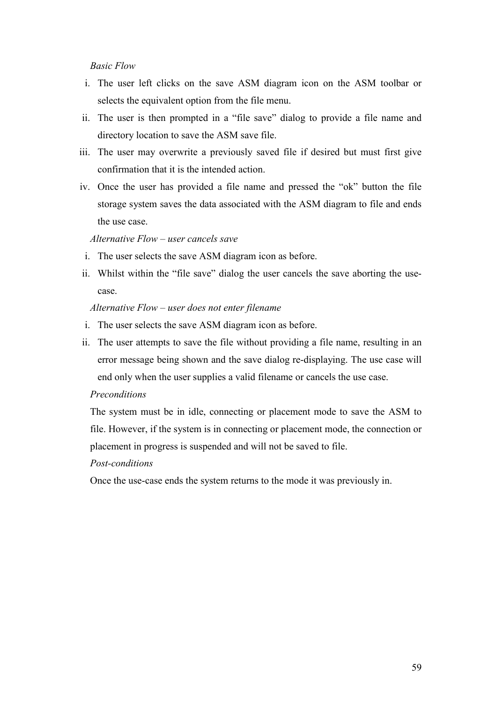- i. The user left clicks on the save ASM diagram icon on the ASM toolbar or selects the equivalent option from the file menu.
- ii. The user is then prompted in a "file save" dialog to provide a file name and directory location to save the ASM save file.
- iii. The user may overwrite a previously saved file if desired but must first give confirmation that it is the intended action.
- iv. Once the user has provided a file name and pressed the "ok" button the file storage system saves the data associated with the ASM diagram to file and ends the use case.

#### Alternative Flow – user cancels save

- i. The user selects the save ASM diagram icon as before.
- ii. Whilst within the "file save" dialog the user cancels the save aborting the usecase.

#### Alternative Flow – user does not enter filename

- i. The user selects the save ASM diagram icon as before.
- ii. The user attempts to save the file without providing a file name, resulting in an error message being shown and the save dialog re-displaying. The use case will end only when the user supplies a valid filename or cancels the use case.

#### Preconditions

The system must be in idle, connecting or placement mode to save the ASM to file. However, if the system is in connecting or placement mode, the connection or placement in progress is suspended and will not be saved to file.

#### Post-conditions

Once the use-case ends the system returns to the mode it was previously in.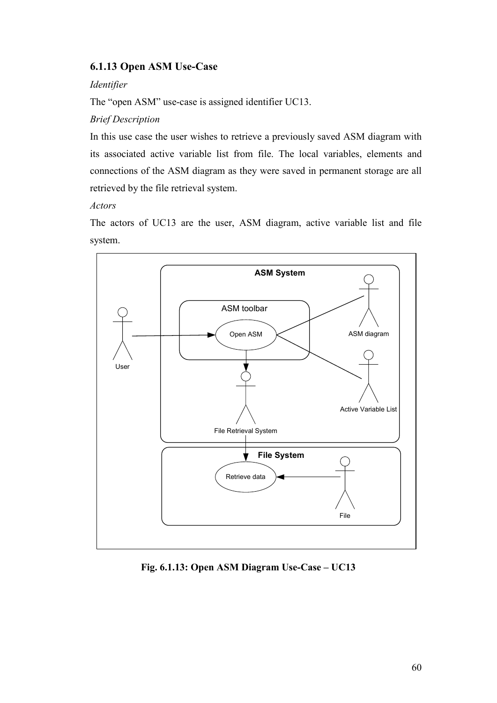# 6.1.13 Open ASM Use-Case

#### Identifier

The "open ASM" use-case is assigned identifier UC13.

#### Brief Description

In this use case the user wishes to retrieve a previously saved ASM diagram with its associated active variable list from file. The local variables, elements and connections of the ASM diagram as they were saved in permanent storage are all retrieved by the file retrieval system.

#### Actors

The actors of UC13 are the user, ASM diagram, active variable list and file system.



Fig. 6.1.13: Open ASM Diagram Use-Case – UC13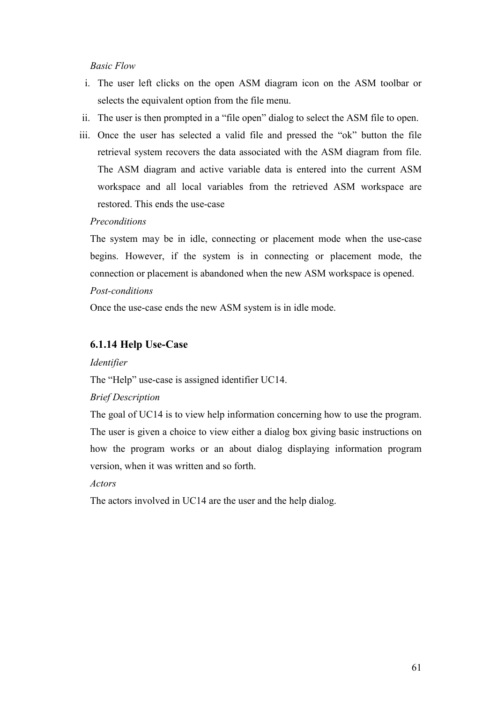#### Basic Flow

- i. The user left clicks on the open ASM diagram icon on the ASM toolbar or selects the equivalent option from the file menu.
- ii. The user is then prompted in a "file open" dialog to select the ASM file to open.
- iii. Once the user has selected a valid file and pressed the "ok" button the file retrieval system recovers the data associated with the ASM diagram from file. The ASM diagram and active variable data is entered into the current ASM workspace and all local variables from the retrieved ASM workspace are restored. This ends the use-case

#### **Preconditions**

The system may be in idle, connecting or placement mode when the use-case begins. However, if the system is in connecting or placement mode, the connection or placement is abandoned when the new ASM workspace is opened. Post-conditions

Once the use-case ends the new ASM system is in idle mode.

#### 6.1.14 Help Use-Case

#### Identifier

The "Help" use-case is assigned identifier UC14.

#### Brief Description

The goal of UC14 is to view help information concerning how to use the program. The user is given a choice to view either a dialog box giving basic instructions on how the program works or an about dialog displaying information program version, when it was written and so forth.

#### Actors

The actors involved in UC14 are the user and the help dialog.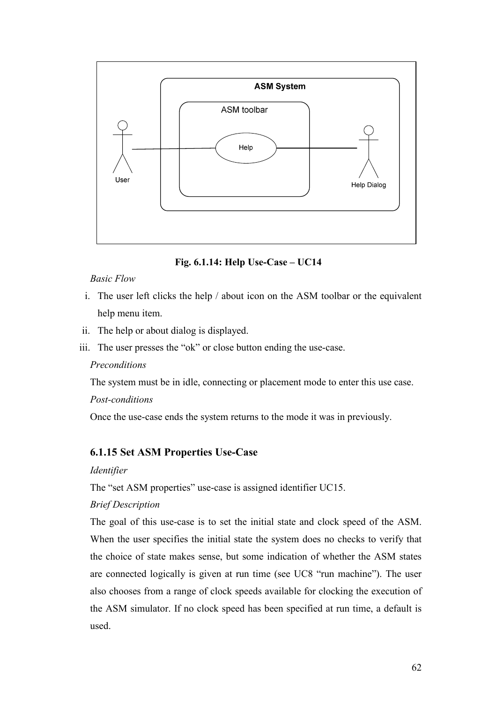

Fig. 6.1.14: Help Use-Case – UC14

# Basic Flow

- i. The user left clicks the help / about icon on the ASM toolbar or the equivalent help menu item.
- ii. The help or about dialog is displayed.
- iii. The user presses the "ok" or close button ending the use-case.

# Preconditions

The system must be in idle, connecting or placement mode to enter this use case.

# Post-conditions

Once the use-case ends the system returns to the mode it was in previously.

# 6.1.15 Set ASM Properties Use-Case

# Identifier

The "set ASM properties" use-case is assigned identifier UC15.

# Brief Description

The goal of this use-case is to set the initial state and clock speed of the ASM. When the user specifies the initial state the system does no checks to verify that the choice of state makes sense, but some indication of whether the ASM states are connected logically is given at run time (see UC8 "run machine"). The user also chooses from a range of clock speeds available for clocking the execution of the ASM simulator. If no clock speed has been specified at run time, a default is used.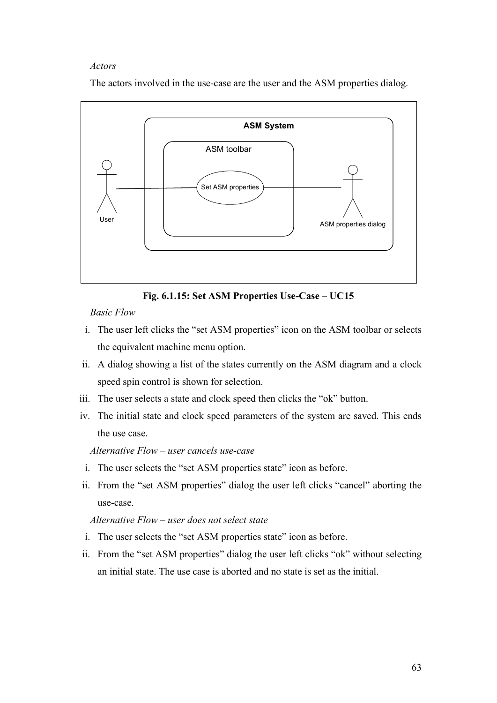#### Actors

The actors involved in the use-case are the user and the ASM properties dialog.



Fig. 6.1.15: Set ASM Properties Use-Case – UC15

Basic Flow

- i. The user left clicks the "set ASM properties" icon on the ASM toolbar or selects the equivalent machine menu option.
- ii. A dialog showing a list of the states currently on the ASM diagram and a clock speed spin control is shown for selection.
- iii. The user selects a state and clock speed then clicks the "ok" button.
- iv. The initial state and clock speed parameters of the system are saved. This ends the use case.

Alternative Flow – user cancels use-case

- i. The user selects the "set ASM properties state" icon as before.
- ii. From the "set ASM properties" dialog the user left clicks "cancel" aborting the use-case.

#### Alternative Flow – user does not select state

- i. The user selects the "set ASM properties state" icon as before.
- ii. From the "set ASM properties" dialog the user left clicks "ok" without selecting an initial state. The use case is aborted and no state is set as the initial.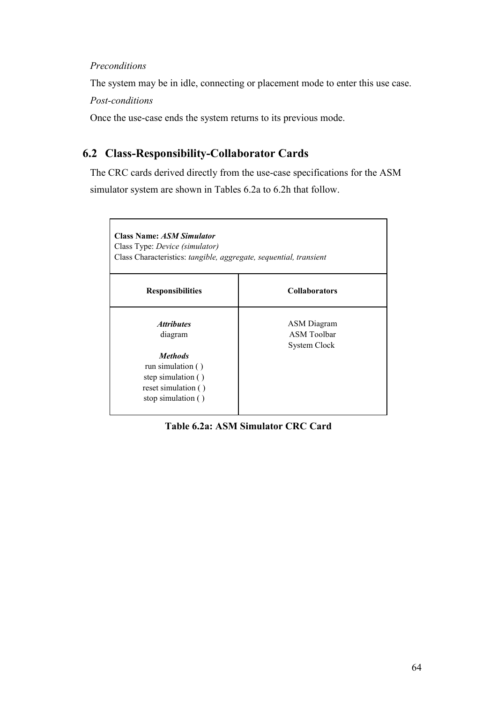#### Preconditions

The system may be in idle, connecting or placement mode to enter this use case.

Post-conditions

Once the use-case ends the system returns to its previous mode.

# 6.2 Class-Responsibility-Collaborator Cards

The CRC cards derived directly from the use-case specifications for the ASM simulator system are shown in Tables 6.2a to 6.2h that follow.

| <b>Class Name: ASM Simulator</b><br>Class Type: <i>Device (simulator)</i><br>Class Characteristics: tangible, aggregate, sequential, transient |                                                          |
|------------------------------------------------------------------------------------------------------------------------------------------------|----------------------------------------------------------|
| <b>Responsibilities</b>                                                                                                                        | <b>Collaborators</b>                                     |
| <i><b>Attributes</b></i><br>diagram                                                                                                            | ASM Diagram<br><b>ASM</b> Toolbar<br><b>System Clock</b> |
| <b>Methods</b><br>run simulation $( )$<br>step simulation ()<br>reset simulation ()<br>stop simulation ()                                      |                                                          |

Table 6.2a: ASM Simulator CRC Card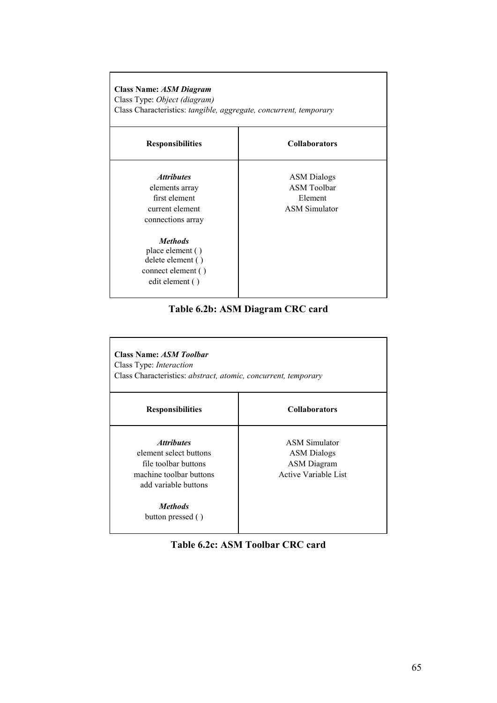| Class Name: ASM Diagram<br>Class Type: Object (diagram)<br>Class Characteristics: tangible, aggregate, concurrent, temporary |                                                                             |  |
|------------------------------------------------------------------------------------------------------------------------------|-----------------------------------------------------------------------------|--|
| <b>Responsibilities</b>                                                                                                      | <b>Collaborators</b>                                                        |  |
| <i><b>Attributes</b></i><br>elements array<br>first element<br>current element<br>connections array                          | <b>ASM</b> Dialogs<br><b>ASM Toolbar</b><br>Element<br><b>ASM Simulator</b> |  |
| <i>Methods</i><br>place element ()<br>delete element ()<br>connect element ()<br>edit element ()                             |                                                                             |  |

Table 6.2b: ASM Diagram CRC card

| <b>Class Name: ASM Toolbar</b><br>Class Type: <i>Interaction</i><br>Class Characteristics: abstract, atomic, concurrent, temporary                                   |                                                                                          |  |
|----------------------------------------------------------------------------------------------------------------------------------------------------------------------|------------------------------------------------------------------------------------------|--|
| <b>Responsibilities</b>                                                                                                                                              | <b>Collaborators</b>                                                                     |  |
| <i><b>Attributes</b></i><br>element select buttons<br>file toolbar buttons<br>machine toolbar buttons<br>add variable buttons<br><i>Methods</i><br>button pressed () | <b>ASM Simulator</b><br><b>ASM</b> Dialogs<br><b>ASM</b> Diagram<br>Active Variable List |  |

Table 6.2c: ASM Toolbar CRC card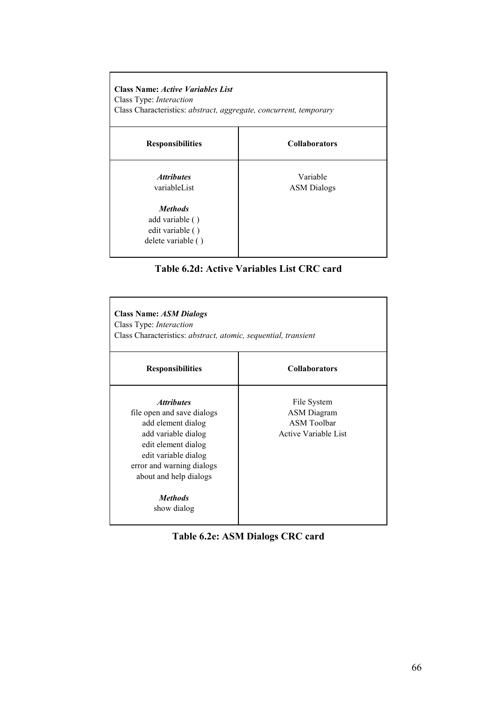| <b>Class Name: Active Variables List</b><br>Class Type: Interaction<br>Class Characteristics: abstract, aggregate, concurrent, temporary |                                |  |
|------------------------------------------------------------------------------------------------------------------------------------------|--------------------------------|--|
| <b>Responsibilities</b>                                                                                                                  | <b>Collaborators</b>           |  |
| <i><b>Attributes</b></i><br>variableList                                                                                                 | Variable<br><b>ASM</b> Dialogs |  |
| <i>Methods</i><br>add variable ()<br>edit variable ()<br>delete variable ()                                                              |                                |  |



| <b>Class Name: ASM Dialogs</b><br>Class Type: Interaction<br>Class Characteristics: abstract, atomic, sequential, transient                                                                                                                |                                                                                        |  |
|--------------------------------------------------------------------------------------------------------------------------------------------------------------------------------------------------------------------------------------------|----------------------------------------------------------------------------------------|--|
| <b>Responsibilities</b>                                                                                                                                                                                                                    | <b>Collaborators</b>                                                                   |  |
| <i><b>Attributes</b></i><br>file open and save dialogs<br>add element dialog<br>add variable dialog<br>edit element dialog<br>edit variable dialog<br>error and warning dialogs<br>about and help dialogs<br><i>Methods</i><br>show dialog | File System<br><b>ASM</b> Diagram<br><b>ASM Toolbar</b><br><b>Active Variable List</b> |  |

| Table 6.2e: ASM Dialogs CRC card |  |  |  |  |
|----------------------------------|--|--|--|--|
|----------------------------------|--|--|--|--|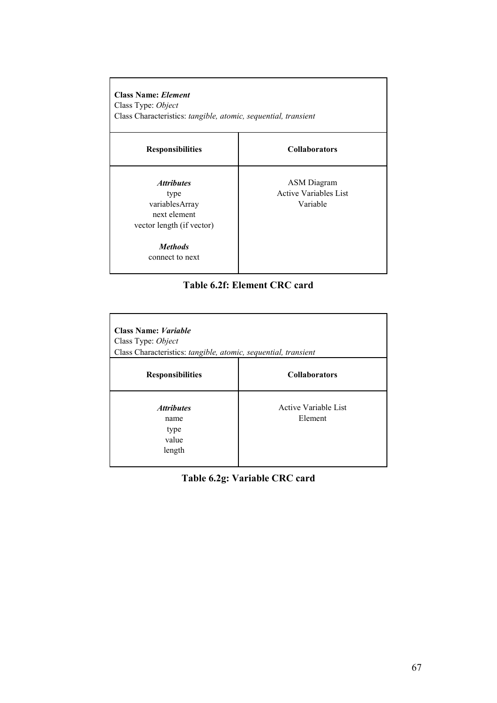Class Name: Element Class Type: Object Class Characteristics: tangible, atomic, sequential, transient

#### Responsibilities Collaborators

variablesArray Variable next element vector length (if vector)

Methods connect to next

Attributes and ASM Diagram type Active Variables List

#### Table 6.2f: Element CRC card

| <b>Class Name: Variable</b><br>Class Type: Object<br>Class Characteristics: tangible, atomic, sequential, transient |                                        |
|---------------------------------------------------------------------------------------------------------------------|----------------------------------------|
| <b>Responsibilities</b>                                                                                             | <b>Collaborators</b>                   |
| <b>Attributes</b><br>name<br>type<br>value<br>length                                                                | <b>Active Variable List</b><br>Element |

Table 6.2g: Variable CRC card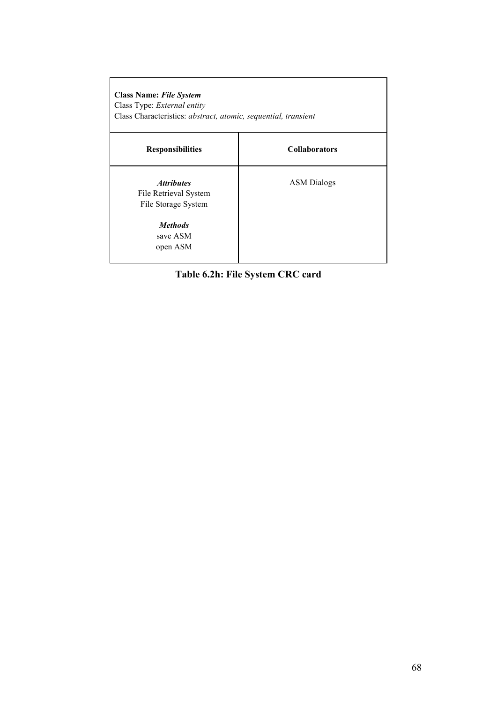| <b>Class Name: File System</b><br>Class Type: External entity<br>Class Characteristics: abstract, atomic, sequential, transient |                      |  |
|---------------------------------------------------------------------------------------------------------------------------------|----------------------|--|
| <b>Responsibilities</b>                                                                                                         | <b>Collaborators</b> |  |
| <i><b>Attributes</b></i><br>File Retrieval System<br>File Storage System                                                        | <b>ASM</b> Dialogs   |  |
| <b>Methods</b><br>save ASM<br>open ASM                                                                                          |                      |  |

Table 6.2h: File System CRC card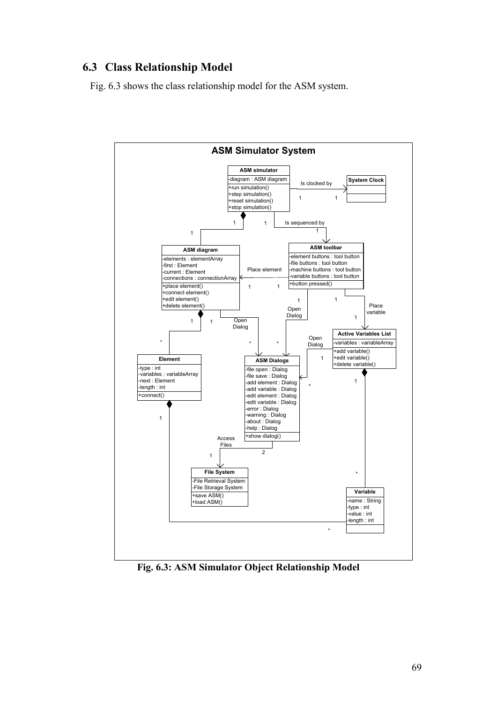# 6.3 Class Relationship Model

Fig. 6.3 shows the class relationship model for the ASM system.



Fig. 6.3: ASM Simulator Object Relationship Model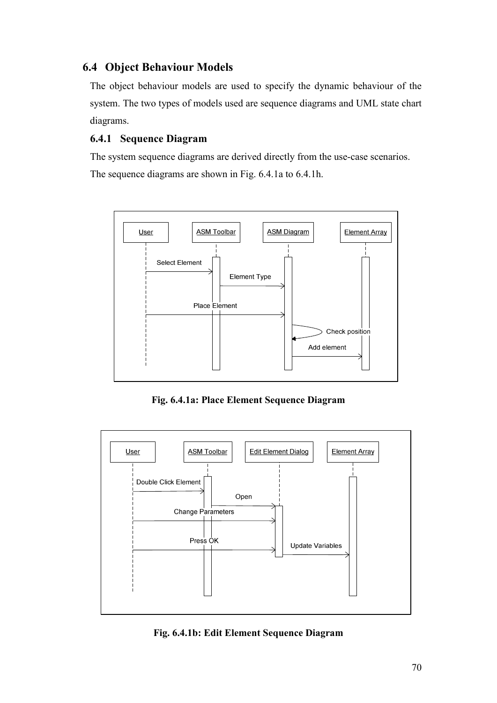# 6.4 Object Behaviour Models

The object behaviour models are used to specify the dynamic behaviour of the system. The two types of models used are sequence diagrams and UML state chart diagrams.

# 6.4.1 Sequence Diagram

The system sequence diagrams are derived directly from the use-case scenarios. The sequence diagrams are shown in Fig. 6.4.1a to 6.4.1h.



Fig. 6.4.1a: Place Element Sequence Diagram



Fig. 6.4.1b: Edit Element Sequence Diagram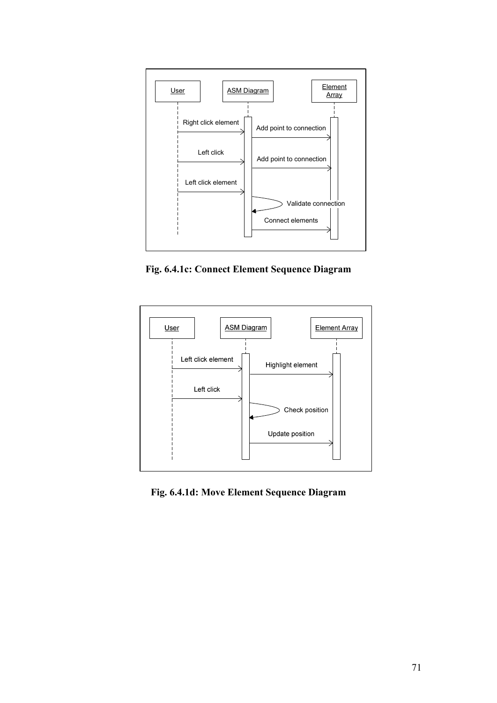

Fig. 6.4.1c: Connect Element Sequence Diagram



Fig. 6.4.1d: Move Element Sequence Diagram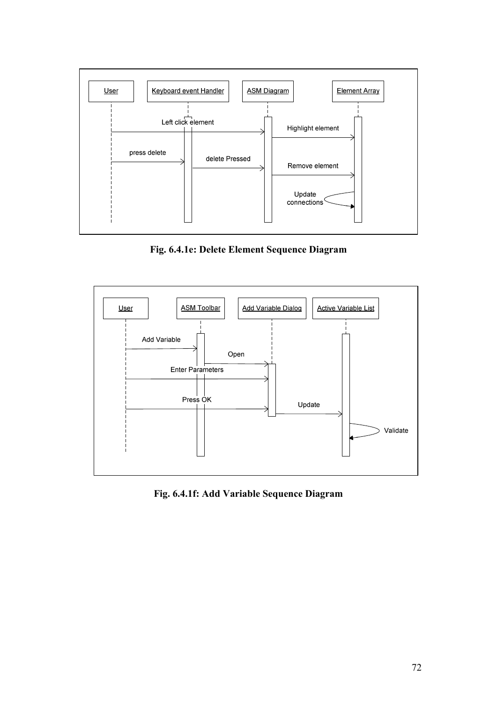

Fig. 6.4.1e: Delete Element Sequence Diagram



Fig. 6.4.1f: Add Variable Sequence Diagram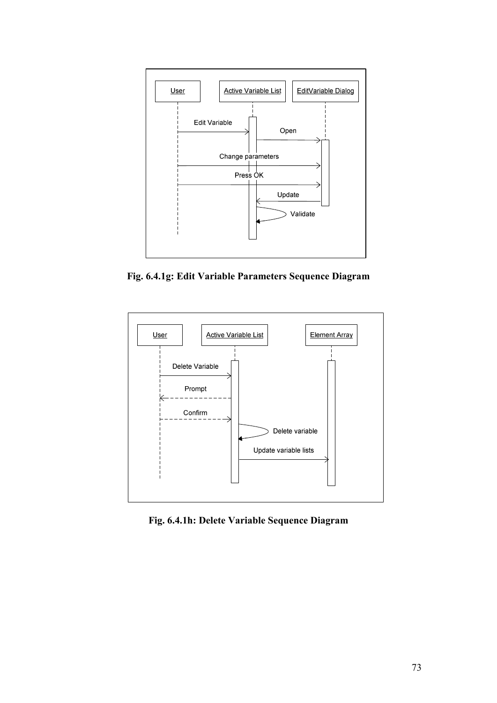

Fig. 6.4.1g: Edit Variable Parameters Sequence Diagram



Fig. 6.4.1h: Delete Variable Sequence Diagram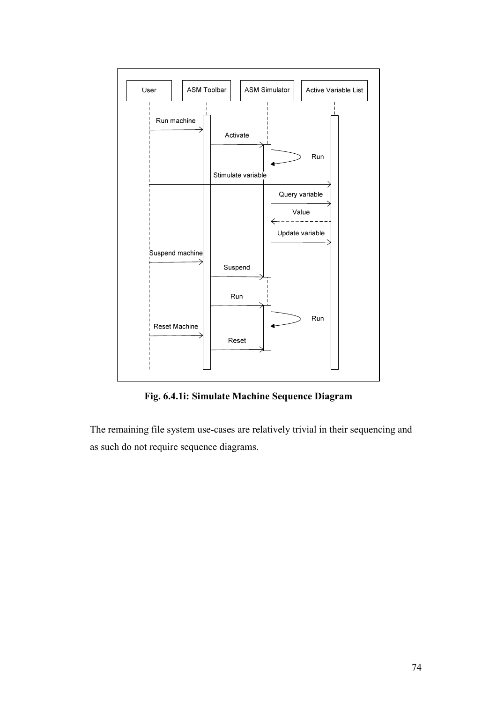

Fig. 6.4.1i: Simulate Machine Sequence Diagram

The remaining file system use-cases are relatively trivial in their sequencing and as such do not require sequence diagrams.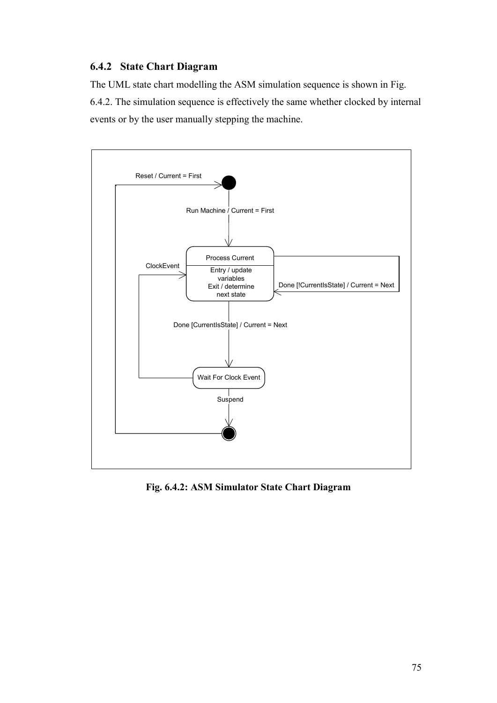#### 6.4.2 State Chart Diagram

The UML state chart modelling the ASM simulation sequence is shown in Fig. 6.4.2. The simulation sequence is effectively the same whether clocked by internal events or by the user manually stepping the machine.



Fig. 6.4.2: ASM Simulator State Chart Diagram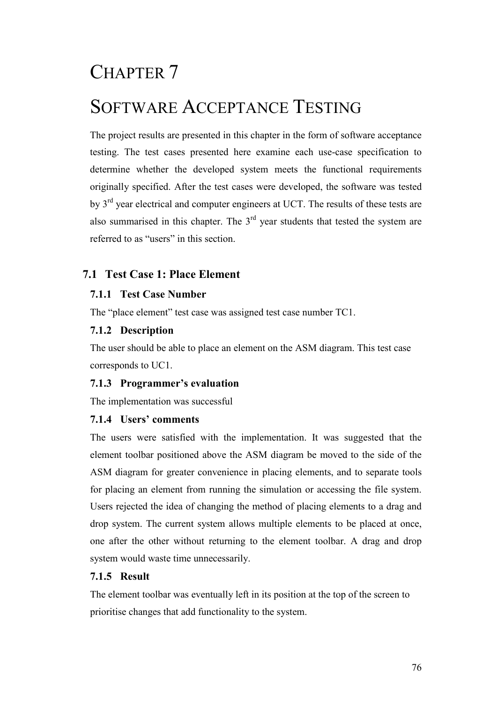# CHAPTER 7

# SOFTWARE ACCEPTANCE TESTING

The project results are presented in this chapter in the form of software acceptance testing. The test cases presented here examine each use-case specification to determine whether the developed system meets the functional requirements originally specified. After the test cases were developed, the software was tested by 3rd year electrical and computer engineers at UCT. The results of these tests are also summarised in this chapter. The  $3<sup>rd</sup>$  year students that tested the system are referred to as "users" in this section.

# 7.1 Test Case 1: Place Element

# 7.1.1 Test Case Number

The "place element" test case was assigned test case number TC1.

# 7.1.2 Description

The user should be able to place an element on the ASM diagram. This test case corresponds to UC1.

# 7.1.3 Programmer's evaluation

The implementation was successful

# 7.1.4 Users' comments

The users were satisfied with the implementation. It was suggested that the element toolbar positioned above the ASM diagram be moved to the side of the ASM diagram for greater convenience in placing elements, and to separate tools for placing an element from running the simulation or accessing the file system. Users rejected the idea of changing the method of placing elements to a drag and drop system. The current system allows multiple elements to be placed at once, one after the other without returning to the element toolbar. A drag and drop system would waste time unnecessarily.

# 7.1.5 Result

The element toolbar was eventually left in its position at the top of the screen to prioritise changes that add functionality to the system.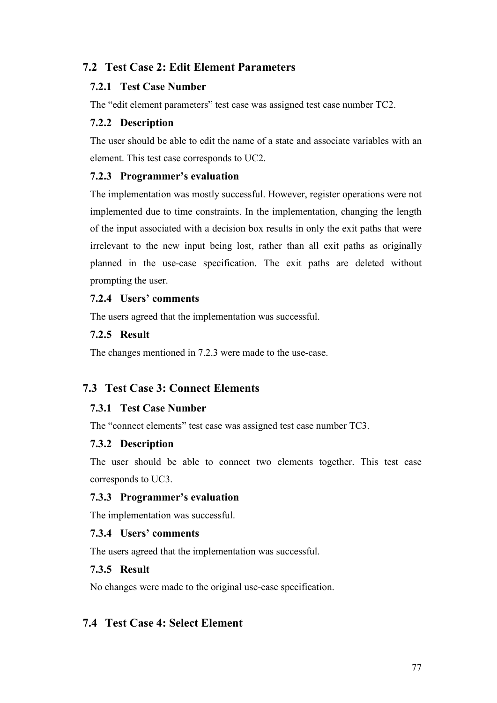# 7.2 Test Case 2: Edit Element Parameters

#### 7.2.1 Test Case Number

The "edit element parameters" test case was assigned test case number TC2.

#### 7.2.2 Description

The user should be able to edit the name of a state and associate variables with an element. This test case corresponds to UC2.

#### 7.2.3 Programmer's evaluation

The implementation was mostly successful. However, register operations were not implemented due to time constraints. In the implementation, changing the length of the input associated with a decision box results in only the exit paths that were irrelevant to the new input being lost, rather than all exit paths as originally planned in the use-case specification. The exit paths are deleted without prompting the user.

# 7.2.4 Users' comments

The users agreed that the implementation was successful.

#### 7.2.5 Result

The changes mentioned in 7.2.3 were made to the use-case.

# 7.3 Test Case 3: Connect Elements

#### 7.3.1 Test Case Number

The "connect elements" test case was assigned test case number TC3.

# 7.3.2 Description

The user should be able to connect two elements together. This test case corresponds to UC3.

#### 7.3.3 Programmer's evaluation

The implementation was successful.

# 7.3.4 Users' comments

The users agreed that the implementation was successful.

# 7.3.5 Result

No changes were made to the original use-case specification.

# 7.4 Test Case 4: Select Element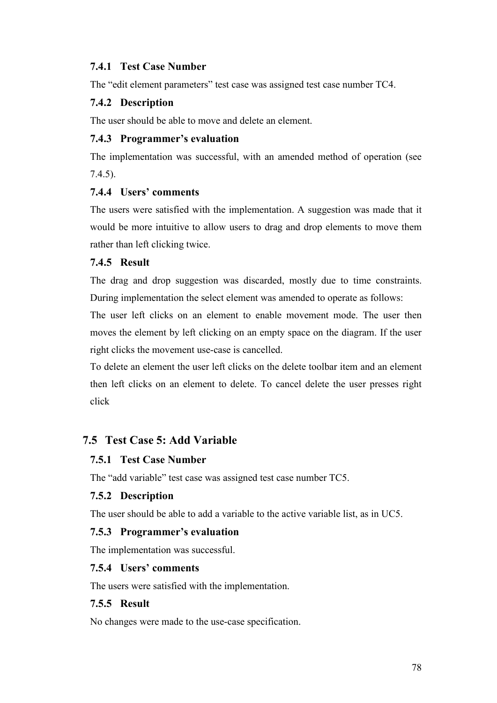# 7.4.1 Test Case Number

The "edit element parameters" test case was assigned test case number TC4.

# 7.4.2 Description

The user should be able to move and delete an element.

# 7.4.3 Programmer's evaluation

The implementation was successful, with an amended method of operation (see 7.4.5).

# 7.4.4 Users' comments

The users were satisfied with the implementation. A suggestion was made that it would be more intuitive to allow users to drag and drop elements to move them rather than left clicking twice.

# 7.4.5 Result

The drag and drop suggestion was discarded, mostly due to time constraints. During implementation the select element was amended to operate as follows:

The user left clicks on an element to enable movement mode. The user then moves the element by left clicking on an empty space on the diagram. If the user right clicks the movement use-case is cancelled.

To delete an element the user left clicks on the delete toolbar item and an element then left clicks on an element to delete. To cancel delete the user presses right click

# 7.5 Test Case 5: Add Variable

# 7.5.1 Test Case Number

The "add variable" test case was assigned test case number TC5.

# 7.5.2 Description

The user should be able to add a variable to the active variable list, as in UC5.

# 7.5.3 Programmer's evaluation

The implementation was successful.

# 7.5.4 Users' comments

The users were satisfied with the implementation.

# 7.5.5 Result

No changes were made to the use-case specification.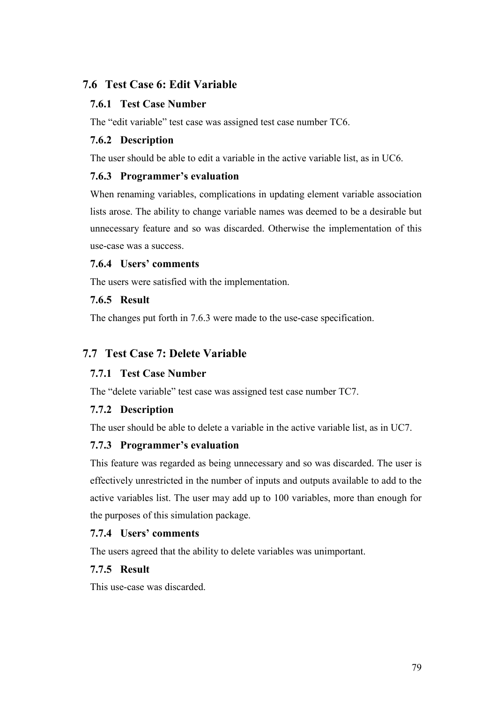# 7.6 Test Case 6: Edit Variable

# 7.6.1 Test Case Number

The "edit variable" test case was assigned test case number TC6.

# 7.6.2 Description

The user should be able to edit a variable in the active variable list, as in UC6.

# 7.6.3 Programmer's evaluation

When renaming variables, complications in updating element variable association lists arose. The ability to change variable names was deemed to be a desirable but unnecessary feature and so was discarded. Otherwise the implementation of this use-case was a success.

# 7.6.4 Users' comments

The users were satisfied with the implementation.

# 7.6.5 Result

The changes put forth in 7.6.3 were made to the use-case specification.

# 7.7 Test Case 7: Delete Variable

# 7.7.1 Test Case Number

The "delete variable" test case was assigned test case number TC7.

# 7.7.2 Description

The user should be able to delete a variable in the active variable list, as in UC7.

# 7.7.3 Programmer's evaluation

This feature was regarded as being unnecessary and so was discarded. The user is effectively unrestricted in the number of inputs and outputs available to add to the active variables list. The user may add up to 100 variables, more than enough for the purposes of this simulation package.

# 7.7.4 Users' comments

The users agreed that the ability to delete variables was unimportant.

# 7.7.5 Result

This use-case was discarded.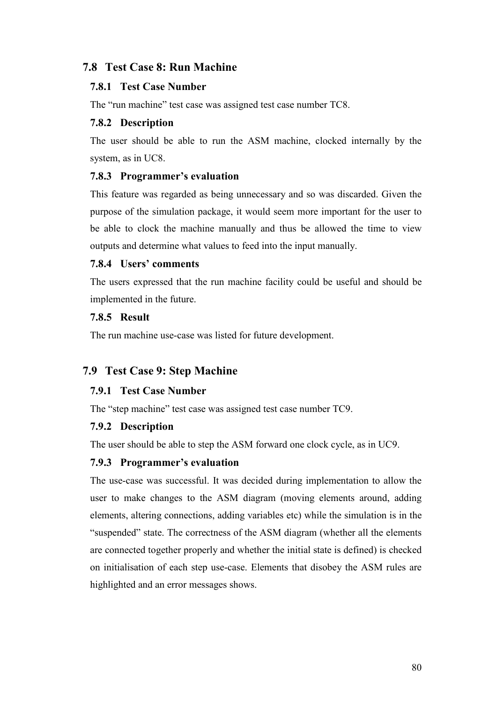# 7.8 Test Case 8: Run Machine

#### 7.8.1 Test Case Number

The "run machine" test case was assigned test case number TC8.

#### 7.8.2 Description

The user should be able to run the ASM machine, clocked internally by the system, as in UC8.

#### 7.8.3 Programmer's evaluation

This feature was regarded as being unnecessary and so was discarded. Given the purpose of the simulation package, it would seem more important for the user to be able to clock the machine manually and thus be allowed the time to view outputs and determine what values to feed into the input manually.

#### 7.8.4 Users' comments

The users expressed that the run machine facility could be useful and should be implemented in the future.

#### 7.8.5 Result

The run machine use-case was listed for future development.

# 7.9 Test Case 9: Step Machine

# 7.9.1 Test Case Number

The "step machine" test case was assigned test case number TC9.

# 7.9.2 Description

The user should be able to step the ASM forward one clock cycle, as in UC9.

# 7.9.3 Programmer's evaluation

The use-case was successful. It was decided during implementation to allow the user to make changes to the ASM diagram (moving elements around, adding elements, altering connections, adding variables etc) while the simulation is in the "suspended" state. The correctness of the ASM diagram (whether all the elements are connected together properly and whether the initial state is defined) is checked on initialisation of each step use-case. Elements that disobey the ASM rules are highlighted and an error messages shows.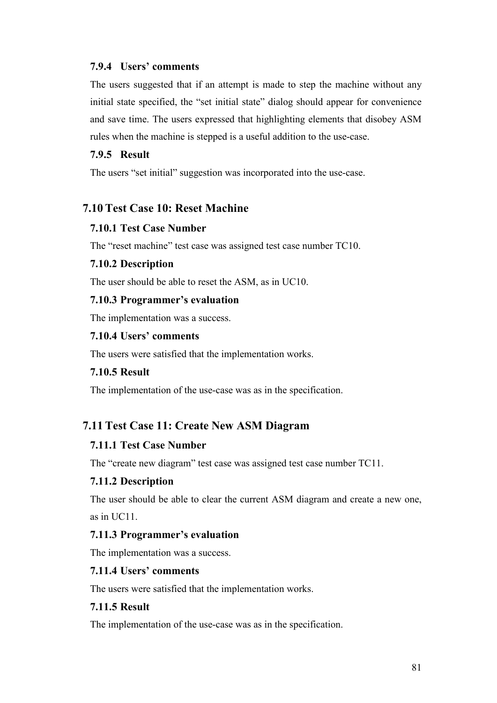#### 7.9.4 Users' comments

The users suggested that if an attempt is made to step the machine without any initial state specified, the "set initial state" dialog should appear for convenience and save time. The users expressed that highlighting elements that disobey ASM rules when the machine is stepped is a useful addition to the use-case.

#### 7.9.5 Result

The users "set initial" suggestion was incorporated into the use-case.

# 7.10 Test Case 10: Reset Machine

#### 7.10.1 Test Case Number

The "reset machine" test case was assigned test case number TC10.

#### 7.10.2 Description

The user should be able to reset the ASM, as in UC10.

#### 7.10.3 Programmer's evaluation

The implementation was a success.

#### 7.10.4 Users' comments

The users were satisfied that the implementation works.

#### 7.10.5 Result

The implementation of the use-case was as in the specification.

# 7.11 Test Case 11: Create New ASM Diagram

#### 7.11.1 Test Case Number

The "create new diagram" test case was assigned test case number TC11.

#### 7.11.2 Description

The user should be able to clear the current ASM diagram and create a new one, as in UC11.

#### 7.11.3 Programmer's evaluation

The implementation was a success.

#### 7.11.4 Users' comments

The users were satisfied that the implementation works.

# 7.11.5 Result

The implementation of the use-case was as in the specification.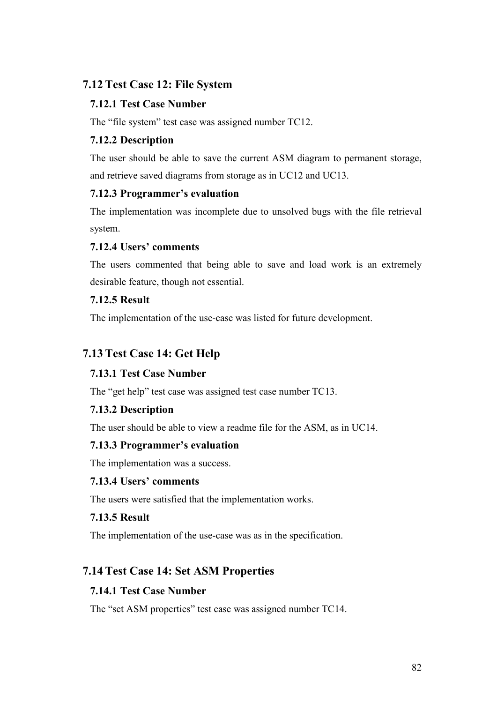# 7.12 Test Case 12: File System

# 7.12.1 Test Case Number

The "file system" test case was assigned number TC12.

# 7.12.2 Description

The user should be able to save the current ASM diagram to permanent storage, and retrieve saved diagrams from storage as in UC12 and UC13.

# 7.12.3 Programmer's evaluation

The implementation was incomplete due to unsolved bugs with the file retrieval system.

# 7.12.4 Users' comments

The users commented that being able to save and load work is an extremely desirable feature, though not essential.

# 7.12.5 Result

The implementation of the use-case was listed for future development.

# 7.13 Test Case 14: Get Help

# 7.13.1 Test Case Number

The "get help" test case was assigned test case number TC13.

# 7.13.2 Description

The user should be able to view a readme file for the ASM, as in UC14.

# 7.13.3 Programmer's evaluation

The implementation was a success.

# 7.13.4 Users' comments

The users were satisfied that the implementation works.

# 7.13.5 Result

The implementation of the use-case was as in the specification.

# 7.14 Test Case 14: Set ASM Properties

# 7.14.1 Test Case Number

The "set ASM properties" test case was assigned number TC14.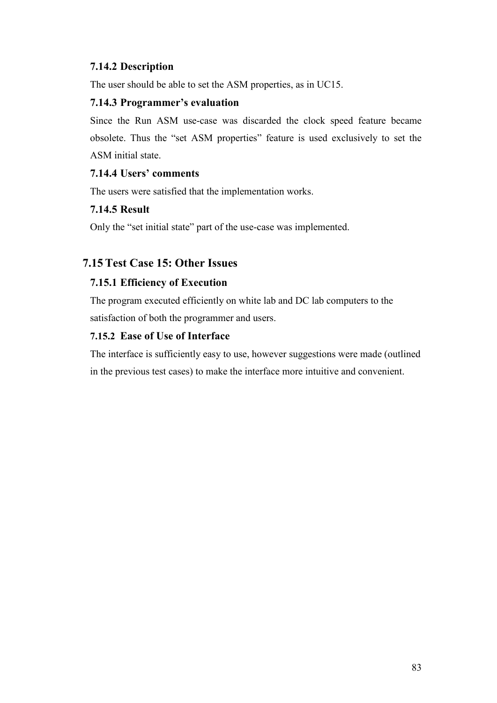# 7.14.2 Description

The user should be able to set the ASM properties, as in UC15.

#### 7.14.3 Programmer's evaluation

Since the Run ASM use-case was discarded the clock speed feature became obsolete. Thus the "set ASM properties" feature is used exclusively to set the ASM initial state.

# 7.14.4 Users' comments

The users were satisfied that the implementation works.

# 7.14.5 Result

Only the "set initial state" part of the use-case was implemented.

# 7.15 Test Case 15: Other Issues

# 7.15.1 Efficiency of Execution

The program executed efficiently on white lab and DC lab computers to the satisfaction of both the programmer and users.

# 7.15.2 Ease of Use of Interface

The interface is sufficiently easy to use, however suggestions were made (outlined in the previous test cases) to make the interface more intuitive and convenient.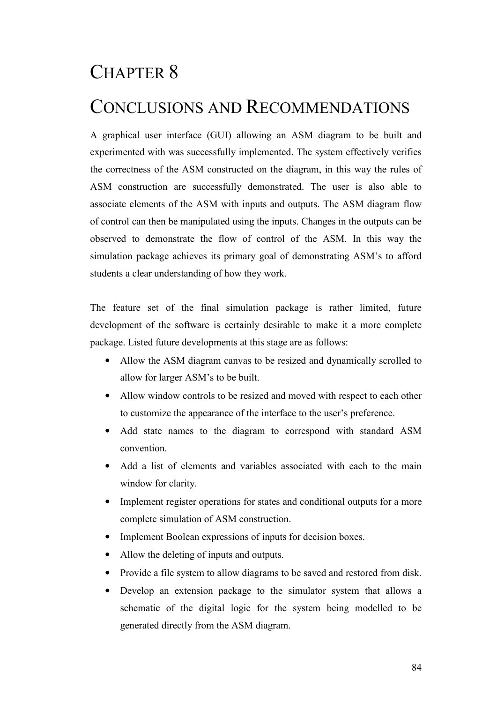# CHAPTER 8

# CONCLUSIONS AND RECOMMENDATIONS

A graphical user interface (GUI) allowing an ASM diagram to be built and experimented with was successfully implemented. The system effectively verifies the correctness of the ASM constructed on the diagram, in this way the rules of ASM construction are successfully demonstrated. The user is also able to associate elements of the ASM with inputs and outputs. The ASM diagram flow of control can then be manipulated using the inputs. Changes in the outputs can be observed to demonstrate the flow of control of the ASM. In this way the simulation package achieves its primary goal of demonstrating ASM's to afford students a clear understanding of how they work.

The feature set of the final simulation package is rather limited, future development of the software is certainly desirable to make it a more complete package. Listed future developments at this stage are as follows:

- Allow the ASM diagram canvas to be resized and dynamically scrolled to allow for larger ASM's to be built.
- Allow window controls to be resized and moved with respect to each other to customize the appearance of the interface to the user's preference.
- Add state names to the diagram to correspond with standard ASM convention.
- Add a list of elements and variables associated with each to the main window for clarity.
- Implement register operations for states and conditional outputs for a more complete simulation of ASM construction.
- Implement Boolean expressions of inputs for decision boxes.
- Allow the deleting of inputs and outputs.
- Provide a file system to allow diagrams to be saved and restored from disk.
- Develop an extension package to the simulator system that allows a schematic of the digital logic for the system being modelled to be generated directly from the ASM diagram.